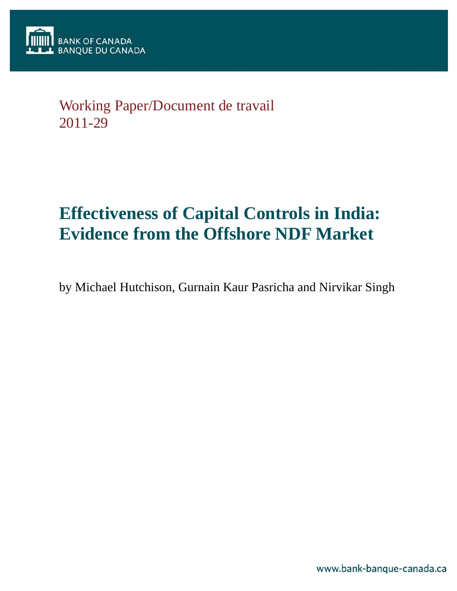# Working Paper/Document de travail 2011-29

# **Effectiveness of Capital Controls in India: Evidence from the Offshore NDF Market**

by Michael Hutchison, Gurnain Kaur Pasricha and Nirvikar Singh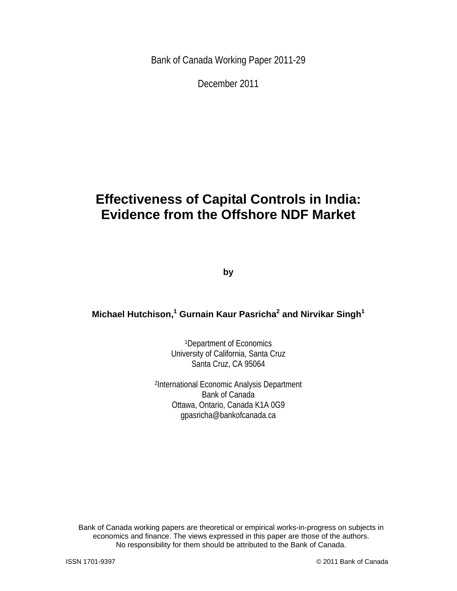Bank of Canada Working Paper 2011-29

December 2011

# **Effectiveness of Capital Controls in India: Evidence from the Offshore NDF Market**

**by** 

### **Michael Hutchison,<sup>1</sup> Gurnain Kaur Pasricha<sup>2</sup> and Nirvikar Singh<sup>1</sup>**

1Department of Economics University of California, Santa Cruz Santa Cruz, CA 95064

 2International Economic Analysis Department Bank of Canada Ottawa, Ontario, Canada K1A 0G9 gpasricha@bankofcanada.ca

Bank of Canada working papers are theoretical or empirical works-in-progress on subjects in economics and finance. The views expressed in this paper are those of the authors. No responsibility for them should be attributed to the Bank of Canada.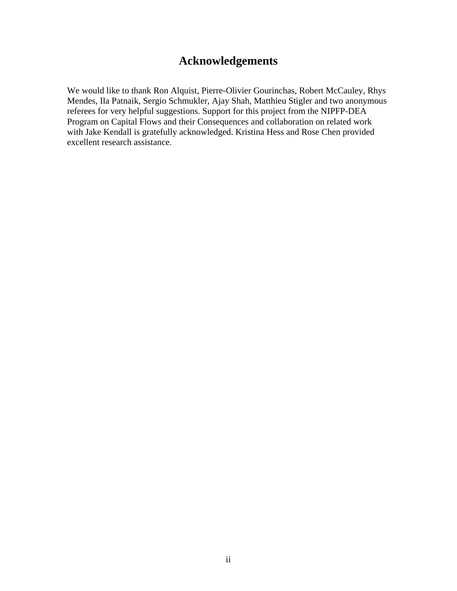### **Acknowledgements**

We would like to thank Ron Alquist, Pierre-Olivier Gourinchas, Robert McCauley, Rhys Mendes, Ila Patnaik, Sergio Schmukler, Ajay Shah, Matthieu Stigler and two anonymous referees for very helpful suggestions. Support for this project from the NIPFP-DEA Program on Capital Flows and their Consequences and collaboration on related work with Jake Kendall is gratefully acknowledged. Kristina Hess and Rose Chen provided excellent research assistance.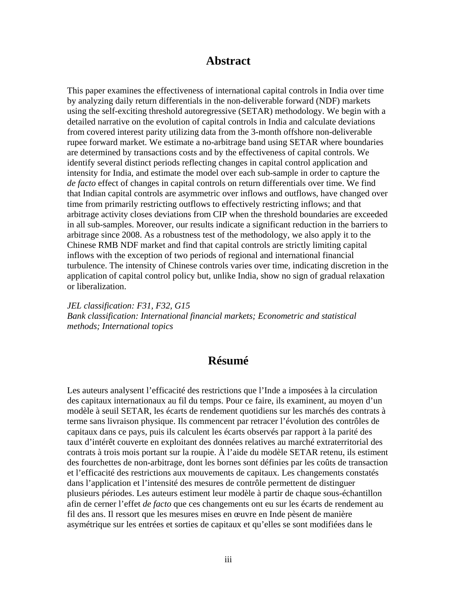### **Abstract**

This paper examines the effectiveness of international capital controls in India over time by analyzing daily return differentials in the non-deliverable forward (NDF) markets using the self-exciting threshold autoregressive (SETAR) methodology. We begin with a detailed narrative on the evolution of capital controls in India and calculate deviations from covered interest parity utilizing data from the 3-month offshore non-deliverable rupee forward market. We estimate a no-arbitrage band using SETAR where boundaries are determined by transactions costs and by the effectiveness of capital controls. We identify several distinct periods reflecting changes in capital control application and intensity for India, and estimate the model over each sub-sample in order to capture the *de facto* effect of changes in capital controls on return differentials over time. We find that Indian capital controls are asymmetric over inflows and outflows, have changed over time from primarily restricting outflows to effectively restricting inflows; and that arbitrage activity closes deviations from CIP when the threshold boundaries are exceeded in all sub-samples. Moreover, our results indicate a significant reduction in the barriers to arbitrage since 2008. As a robustness test of the methodology, we also apply it to the Chinese RMB NDF market and find that capital controls are strictly limiting capital inflows with the exception of two periods of regional and international financial turbulence. The intensity of Chinese controls varies over time, indicating discretion in the application of capital control policy but, unlike India, show no sign of gradual relaxation or liberalization.

*JEL classification: F31, F32, G15 Bank classification: International financial markets; Econometric and statistical methods; International topics* 

### **Résumé**

Les auteurs analysent l'efficacité des restrictions que l'Inde a imposées à la circulation des capitaux internationaux au fil du temps. Pour ce faire, ils examinent, au moyen d'un modèle à seuil SETAR, les écarts de rendement quotidiens sur les marchés des contrats à terme sans livraison physique. Ils commencent par retracer l'évolution des contrôles de capitaux dans ce pays, puis ils calculent les écarts observés par rapport à la parité des taux d'intérêt couverte en exploitant des données relatives au marché extraterritorial des contrats à trois mois portant sur la roupie. À l'aide du modèle SETAR retenu, ils estiment des fourchettes de non-arbitrage, dont les bornes sont définies par les coûts de transaction et l'efficacité des restrictions aux mouvements de capitaux. Les changements constatés dans l'application et l'intensité des mesures de contrôle permettent de distinguer plusieurs périodes. Les auteurs estiment leur modèle à partir de chaque sous-échantillon afin de cerner l'effet *de facto* que ces changements ont eu sur les écarts de rendement au fil des ans. Il ressort que les mesures mises en œuvre en Inde pèsent de manière asymétrique sur les entrées et sorties de capitaux et qu'elles se sont modifiées dans le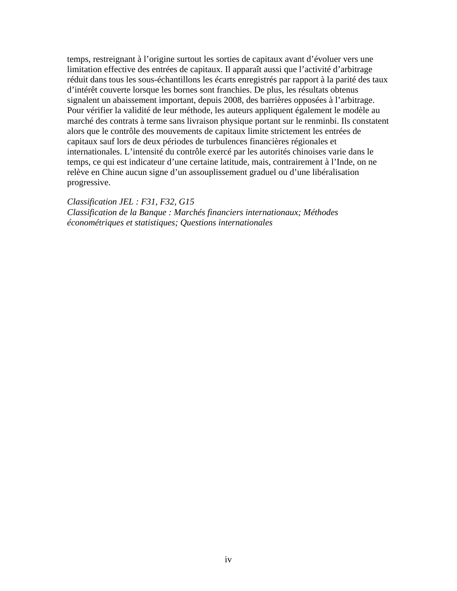temps, restreignant à l'origine surtout les sorties de capitaux avant d'évoluer vers une limitation effective des entrées de capitaux. Il apparaît aussi que l'activité d'arbitrage réduit dans tous les sous-échantillons les écarts enregistrés par rapport à la parité des taux d'intérêt couverte lorsque les bornes sont franchies. De plus, les résultats obtenus signalent un abaissement important, depuis 2008, des barrières opposées à l'arbitrage. Pour vérifier la validité de leur méthode, les auteurs appliquent également le modèle au marché des contrats à terme sans livraison physique portant sur le renminbi. Ils constatent alors que le contrôle des mouvements de capitaux limite strictement les entrées de capitaux sauf lors de deux périodes de turbulences financières régionales et internationales. L'intensité du contrôle exercé par les autorités chinoises varie dans le temps, ce qui est indicateur d'une certaine latitude, mais, contrairement à l'Inde, on ne relève en Chine aucun signe d'un assouplissement graduel ou d'une libéralisation progressive.

*Classification JEL : F31, F32, G15 Classification de la Banque : Marchés financiers internationaux; Méthodes économétriques et statistiques; Questions internationales*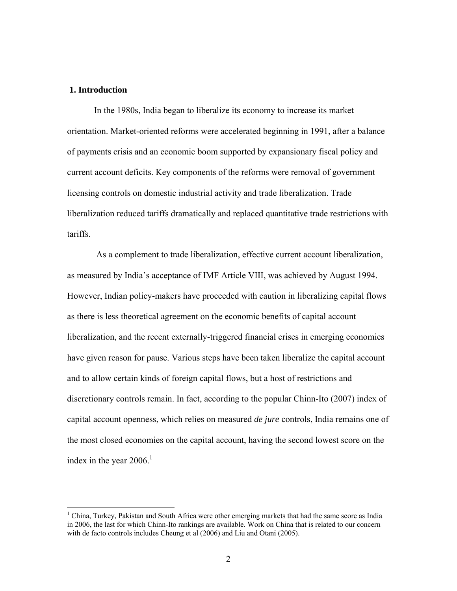### **1. Introduction**

 $\overline{a}$ 

In the 1980s, India began to liberalize its economy to increase its market orientation. Market-oriented reforms were accelerated beginning in 1991, after a balance of payments crisis and an economic boom supported by expansionary fiscal policy and current account deficits. Key components of the reforms were removal of government licensing controls on domestic industrial activity and trade liberalization. Trade liberalization reduced tariffs dramatically and replaced quantitative trade restrictions with tariffs.

 As a complement to trade liberalization, effective current account liberalization, as measured by India's acceptance of IMF Article VIII, was achieved by August 1994. However, Indian policy-makers have proceeded with caution in liberalizing capital flows as there is less theoretical agreement on the economic benefits of capital account liberalization, and the recent externally-triggered financial crises in emerging economies have given reason for pause. Various steps have been taken liberalize the capital account and to allow certain kinds of foreign capital flows, but a host of restrictions and discretionary controls remain. In fact, according to the popular Chinn-Ito (2007) index of capital account openness, which relies on measured *de jure* controls, India remains one of the most closed economies on the capital account, having the second lowest score on the index in the year  $2006$ .<sup>1</sup>

<sup>&</sup>lt;sup>1</sup> China, Turkey, Pakistan and South Africa were other emerging markets that had the same score as India in 2006, the last for which Chinn-Ito rankings are available. Work on China that is related to our concern with de facto controls includes Cheung et al (2006) and Liu and Otani (2005).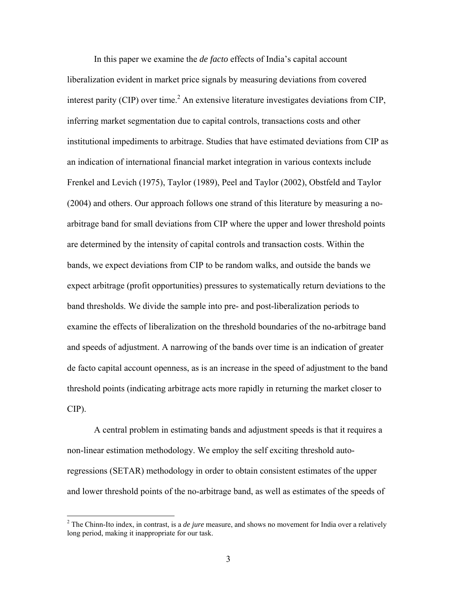In this paper we examine the *de facto* effects of India's capital account liberalization evident in market price signals by measuring deviations from covered interest parity (CIP) over time.<sup>2</sup> An extensive literature investigates deviations from CIP, inferring market segmentation due to capital controls, transactions costs and other institutional impediments to arbitrage. Studies that have estimated deviations from CIP as an indication of international financial market integration in various contexts include Frenkel and Levich (1975), Taylor (1989), Peel and Taylor (2002), Obstfeld and Taylor (2004) and others. Our approach follows one strand of this literature by measuring a noarbitrage band for small deviations from CIP where the upper and lower threshold points are determined by the intensity of capital controls and transaction costs. Within the bands, we expect deviations from CIP to be random walks, and outside the bands we expect arbitrage (profit opportunities) pressures to systematically return deviations to the band thresholds. We divide the sample into pre- and post-liberalization periods to examine the effects of liberalization on the threshold boundaries of the no-arbitrage band and speeds of adjustment. A narrowing of the bands over time is an indication of greater de facto capital account openness, as is an increase in the speed of adjustment to the band threshold points (indicating arbitrage acts more rapidly in returning the market closer to CIP).

A central problem in estimating bands and adjustment speeds is that it requires a non-linear estimation methodology. We employ the self exciting threshold autoregressions (SETAR) methodology in order to obtain consistent estimates of the upper and lower threshold points of the no-arbitrage band, as well as estimates of the speeds of

 $\overline{a}$ 

<sup>&</sup>lt;sup>2</sup> The Chinn-Ito index, in contrast, is a *de jure* measure, and shows no movement for India over a relatively long period, making it inappropriate for our task.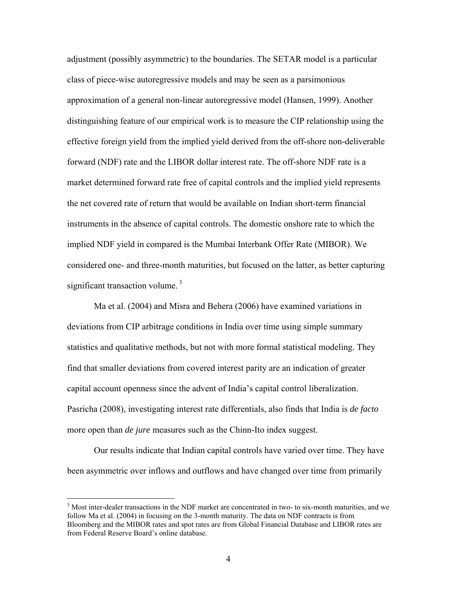adjustment (possibly asymmetric) to the boundaries. The SETAR model is a particular class of piece-wise autoregressive models and may be seen as a parsimonious approximation of a general non-linear autoregressive model (Hansen, 1999). Another distinguishing feature of our empirical work is to measure the CIP relationship using the effective foreign yield from the implied yield derived from the off-shore non-deliverable forward (NDF) rate and the LIBOR dollar interest rate. The off-shore NDF rate is a market determined forward rate free of capital controls and the implied yield represents the net covered rate of return that would be available on Indian short-term financial instruments in the absence of capital controls. The domestic onshore rate to which the implied NDF yield in compared is the Mumbai Interbank Offer Rate (MIBOR). We considered one- and three-month maturities, but focused on the latter, as better capturing significant transaction volume.<sup>3</sup>

Ma et al. (2004) and Misra and Behera (2006) have examined variations in deviations from CIP arbitrage conditions in India over time using simple summary statistics and qualitative methods, but not with more formal statistical modeling. They find that smaller deviations from covered interest parity are an indication of greater capital account openness since the advent of India's capital control liberalization. Pasricha (2008), investigating interest rate differentials, also finds that India is *de facto* more open than *de jure* measures such as the Chinn-Ito index suggest.

Our results indicate that Indian capital controls have varied over time. They have been asymmetric over inflows and outflows and have changed over time from primarily

<sup>&</sup>lt;sup>3</sup> Most inter-dealer transactions in the NDF market are concentrated in two- to six-month maturities, and we follow Ma et al. (2004) in focusing on the 3-month maturity. The data on NDF contracts is from Bloomberg and the MIBOR rates and spot rates are from Global Financial Database and LIBOR rates are from Federal Reserve Board's online database.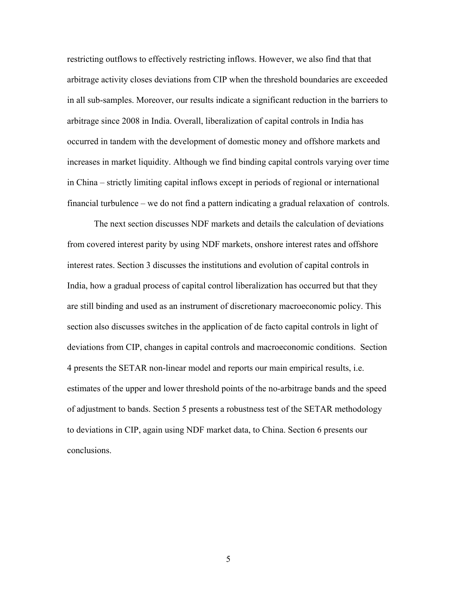restricting outflows to effectively restricting inflows. However, we also find that that arbitrage activity closes deviations from CIP when the threshold boundaries are exceeded in all sub-samples. Moreover, our results indicate a significant reduction in the barriers to arbitrage since 2008 in India. Overall, liberalization of capital controls in India has occurred in tandem with the development of domestic money and offshore markets and increases in market liquidity. Although we find binding capital controls varying over time in China – strictly limiting capital inflows except in periods of regional or international financial turbulence – we do not find a pattern indicating a gradual relaxation of controls.

The next section discusses NDF markets and details the calculation of deviations from covered interest parity by using NDF markets, onshore interest rates and offshore interest rates. Section 3 discusses the institutions and evolution of capital controls in India, how a gradual process of capital control liberalization has occurred but that they are still binding and used as an instrument of discretionary macroeconomic policy. This section also discusses switches in the application of de facto capital controls in light of deviations from CIP, changes in capital controls and macroeconomic conditions. Section 4 presents the SETAR non-linear model and reports our main empirical results, i.e. estimates of the upper and lower threshold points of the no-arbitrage bands and the speed of adjustment to bands. Section 5 presents a robustness test of the SETAR methodology to deviations in CIP, again using NDF market data, to China. Section 6 presents our conclusions.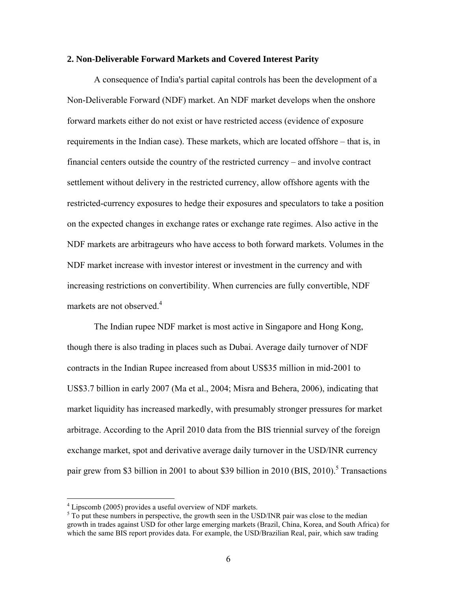#### **2. Non-Deliverable Forward Markets and Covered Interest Parity**

A consequence of India's partial capital controls has been the development of a Non-Deliverable Forward (NDF) market. An NDF market develops when the onshore forward markets either do not exist or have restricted access (evidence of exposure requirements in the Indian case). These markets, which are located offshore – that is, in financial centers outside the country of the restricted currency – and involve contract settlement without delivery in the restricted currency, allow offshore agents with the restricted-currency exposures to hedge their exposures and speculators to take a position on the expected changes in exchange rates or exchange rate regimes. Also active in the NDF markets are arbitrageurs who have access to both forward markets. Volumes in the NDF market increase with investor interest or investment in the currency and with increasing restrictions on convertibility. When currencies are fully convertible, NDF markets are not observed.<sup>4</sup>

The Indian rupee NDF market is most active in Singapore and Hong Kong, though there is also trading in places such as Dubai. Average daily turnover of NDF contracts in the Indian Rupee increased from about US\$35 million in mid-2001 to US\$3.7 billion in early 2007 (Ma et al., 2004; Misra and Behera, 2006), indicating that market liquidity has increased markedly, with presumably stronger pressures for market arbitrage. According to the April 2010 data from the BIS triennial survey of the foreign exchange market, spot and derivative average daily turnover in the USD/INR currency pair grew from \$3 billion in 2001 to about \$39 billion in 2010 (BIS, 2010).<sup>5</sup> Transactions

 4 Lipscomb (2005) provides a useful overview of NDF markets.

 $5 \text{ To put these numbers in perspective, the growth seen in the USD/INR pair was close to the median.}$ growth in trades against USD for other large emerging markets (Brazil, China, Korea, and South Africa) for which the same BIS report provides data. For example, the USD/Brazilian Real, pair, which saw trading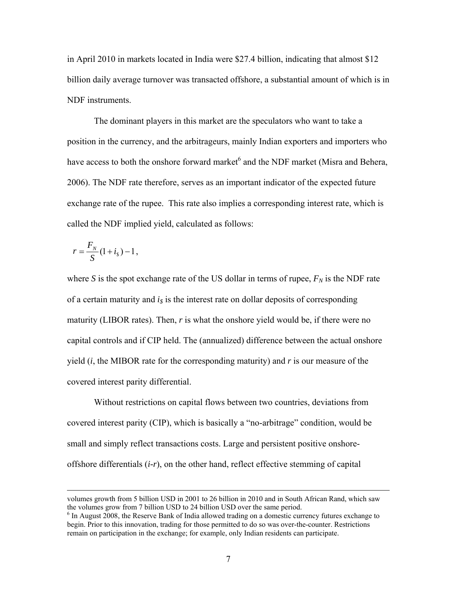in April 2010 in markets located in India were \$27.4 billion, indicating that almost \$12 billion daily average turnover was transacted offshore, a substantial amount of which is in NDF instruments.

The dominant players in this market are the speculators who want to take a position in the currency, and the arbitrageurs, mainly Indian exporters and importers who have access to both the onshore forward market<sup>6</sup> and the NDF market (Misra and Behera, 2006). The NDF rate therefore, serves as an important indicator of the expected future exchange rate of the rupee. This rate also implies a corresponding interest rate, which is called the NDF implied yield, calculated as follows:

$$
r = \frac{F_N}{S} (1 + i_{\rm s}) - 1,
$$

where *S* is the spot exchange rate of the US dollar in terms of rupee,  $F_N$  is the NDF rate of a certain maturity and  $i<sub>s</sub>$  is the interest rate on dollar deposits of corresponding maturity (LIBOR rates). Then, *r* is what the onshore yield would be, if there were no capital controls and if CIP held. The (annualized) difference between the actual onshore yield (*i*, the MIBOR rate for the corresponding maturity) and *r* is our measure of the covered interest parity differential.

Without restrictions on capital flows between two countries, deviations from covered interest parity (CIP), which is basically a "no-arbitrage" condition, would be small and simply reflect transactions costs. Large and persistent positive onshoreoffshore differentials (*i-r*), on the other hand, reflect effective stemming of capital

volumes growth from 5 billion USD in 2001 to 26 billion in 2010 and in South African Rand, which saw the volumes grow from 7 billion USD to 24 billion USD over the same period.

<sup>&</sup>lt;sup>6</sup> In August 2008, the Reserve Bank of India allowed trading on a domestic currency futures exchange to begin. Prior to this innovation, trading for those permitted to do so was over-the-counter. Restrictions remain on participation in the exchange; for example, only Indian residents can participate.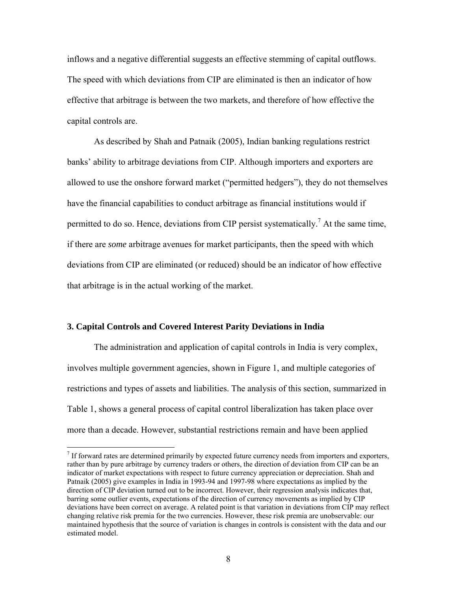inflows and a negative differential suggests an effective stemming of capital outflows. The speed with which deviations from CIP are eliminated is then an indicator of how effective that arbitrage is between the two markets, and therefore of how effective the capital controls are.

As described by Shah and Patnaik (2005), Indian banking regulations restrict banks' ability to arbitrage deviations from CIP. Although importers and exporters are allowed to use the onshore forward market ("permitted hedgers"), they do not themselves have the financial capabilities to conduct arbitrage as financial institutions would if permitted to do so. Hence, deviations from CIP persist systematically.<sup>7</sup> At the same time, if there are *some* arbitrage avenues for market participants, then the speed with which deviations from CIP are eliminated (or reduced) should be an indicator of how effective that arbitrage is in the actual working of the market.

### **3. Capital Controls and Covered Interest Parity Deviations in India**

 $\overline{a}$ 

The administration and application of capital controls in India is very complex, involves multiple government agencies, shown in Figure 1, and multiple categories of restrictions and types of assets and liabilities. The analysis of this section, summarized in Table 1, shows a general process of capital control liberalization has taken place over more than a decade. However, substantial restrictions remain and have been applied

 $<sup>7</sup>$  If forward rates are determined primarily by expected future currency needs from importers and exporters,</sup> rather than by pure arbitrage by currency traders or others, the direction of deviation from CIP can be an indicator of market expectations with respect to future currency appreciation or depreciation. Shah and Patnaik (2005) give examples in India in 1993-94 and 1997-98 where expectations as implied by the direction of CIP deviation turned out to be incorrect. However, their regression analysis indicates that, barring some outlier events, expectations of the direction of currency movements as implied by CIP deviations have been correct on average. A related point is that variation in deviations from CIP may reflect changing relative risk premia for the two currencies. However, these risk premia are unobservable: our maintained hypothesis that the source of variation is changes in controls is consistent with the data and our estimated model.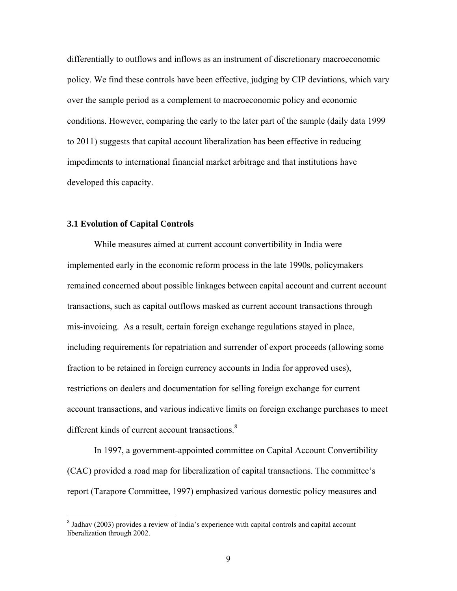differentially to outflows and inflows as an instrument of discretionary macroeconomic policy. We find these controls have been effective, judging by CIP deviations, which vary over the sample period as a complement to macroeconomic policy and economic conditions. However, comparing the early to the later part of the sample (daily data 1999 to 2011) suggests that capital account liberalization has been effective in reducing impediments to international financial market arbitrage and that institutions have developed this capacity.

### **3.1 Evolution of Capital Controls**

 $\overline{a}$ 

While measures aimed at current account convertibility in India were implemented early in the economic reform process in the late 1990s, policymakers remained concerned about possible linkages between capital account and current account transactions, such as capital outflows masked as current account transactions through mis-invoicing. As a result, certain foreign exchange regulations stayed in place, including requirements for repatriation and surrender of export proceeds (allowing some fraction to be retained in foreign currency accounts in India for approved uses), restrictions on dealers and documentation for selling foreign exchange for current account transactions, and various indicative limits on foreign exchange purchases to meet different kinds of current account transactions.<sup>8</sup>

In 1997, a government-appointed committee on Capital Account Convertibility (CAC) provided a road map for liberalization of capital transactions. The committee's report (Tarapore Committee, 1997) emphasized various domestic policy measures and

<sup>&</sup>lt;sup>8</sup> Jadhav (2003) provides a review of India's experience with capital controls and capital account liberalization through 2002.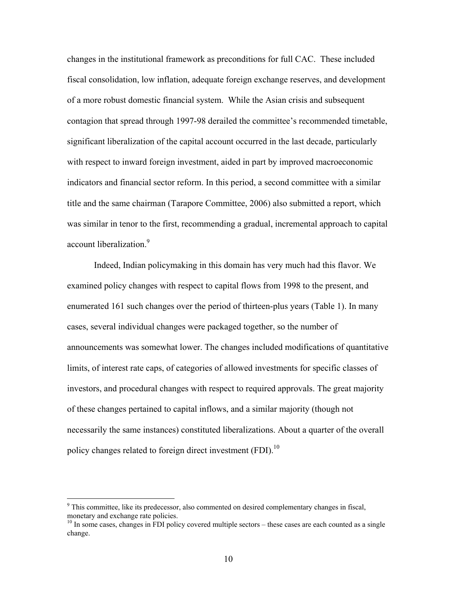changes in the institutional framework as preconditions for full CAC. These included fiscal consolidation, low inflation, adequate foreign exchange reserves, and development of a more robust domestic financial system. While the Asian crisis and subsequent contagion that spread through 1997-98 derailed the committee's recommended timetable, significant liberalization of the capital account occurred in the last decade, particularly with respect to inward foreign investment, aided in part by improved macroeconomic indicators and financial sector reform. In this period, a second committee with a similar title and the same chairman (Tarapore Committee, 2006) also submitted a report, which was similar in tenor to the first, recommending a gradual, incremental approach to capital account liberalization.<sup>9</sup>

Indeed, Indian policymaking in this domain has very much had this flavor. We examined policy changes with respect to capital flows from 1998 to the present, and enumerated 161 such changes over the period of thirteen-plus years (Table 1). In many cases, several individual changes were packaged together, so the number of announcements was somewhat lower. The changes included modifications of quantitative limits, of interest rate caps, of categories of allowed investments for specific classes of investors, and procedural changes with respect to required approvals. The great majority of these changes pertained to capital inflows, and a similar majority (though not necessarily the same instances) constituted liberalizations. About a quarter of the overall policy changes related to foreign direct investment (FDI).<sup>10</sup>

<u>.</u>

 $9^9$  This committee, like its predecessor, also commented on desired complementary changes in fiscal, monetary and exchange rate policies.

 $10$  In some cases, changes in FDI policy covered multiple sectors – these cases are each counted as a single change.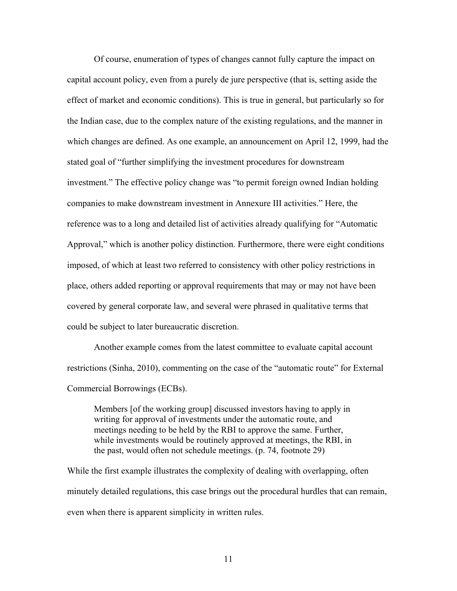Of course, enumeration of types of changes cannot fully capture the impact on capital account policy, even from a purely de jure perspective (that is, setting aside the effect of market and economic conditions). This is true in general, but particularly so for the Indian case, due to the complex nature of the existing regulations, and the manner in which changes are defined. As one example, an announcement on April 12, 1999, had the stated goal of "further simplifying the investment procedures for downstream investment." The effective policy change was "to permit foreign owned Indian holding companies to make downstream investment in Annexure III activities." Here, the reference was to a long and detailed list of activities already qualifying for "Automatic Approval," which is another policy distinction. Furthermore, there were eight conditions imposed, of which at least two referred to consistency with other policy restrictions in place, others added reporting or approval requirements that may or may not have been covered by general corporate law, and several were phrased in qualitative terms that could be subject to later bureaucratic discretion.

Another example comes from the latest committee to evaluate capital account restrictions (Sinha, 2010), commenting on the case of the "automatic route" for External Commercial Borrowings (ECBs).

Members [of the working group] discussed investors having to apply in writing for approval of investments under the automatic route, and meetings needing to be held by the RBI to approve the same. Further, while investments would be routinely approved at meetings, the RBI, in the past, would often not schedule meetings. (p. 74, footnote 29)

While the first example illustrates the complexity of dealing with overlapping, often minutely detailed regulations, this case brings out the procedural hurdles that can remain, even when there is apparent simplicity in written rules.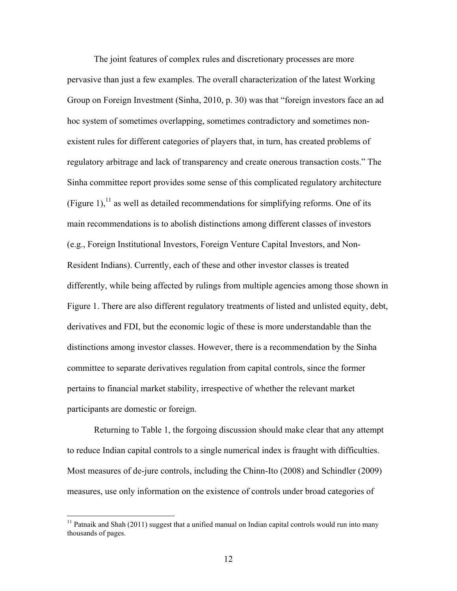The joint features of complex rules and discretionary processes are more pervasive than just a few examples. The overall characterization of the latest Working Group on Foreign Investment (Sinha, 2010, p. 30) was that "foreign investors face an ad hoc system of sometimes overlapping, sometimes contradictory and sometimes nonexistent rules for different categories of players that, in turn, has created problems of regulatory arbitrage and lack of transparency and create onerous transaction costs." The Sinha committee report provides some sense of this complicated regulatory architecture (Figure 1),  $^{11}$  as well as detailed recommendations for simplifying reforms. One of its main recommendations is to abolish distinctions among different classes of investors (e.g., Foreign Institutional Investors, Foreign Venture Capital Investors, and Non-Resident Indians). Currently, each of these and other investor classes is treated differently, while being affected by rulings from multiple agencies among those shown in Figure 1. There are also different regulatory treatments of listed and unlisted equity, debt, derivatives and FDI, but the economic logic of these is more understandable than the distinctions among investor classes. However, there is a recommendation by the Sinha committee to separate derivatives regulation from capital controls, since the former pertains to financial market stability, irrespective of whether the relevant market participants are domestic or foreign.

Returning to Table 1, the forgoing discussion should make clear that any attempt to reduce Indian capital controls to a single numerical index is fraught with difficulties. Most measures of de-jure controls, including the Chinn-Ito (2008) and Schindler (2009) measures, use only information on the existence of controls under broad categories of

 $\overline{a}$ 

 $11$  Patnaik and Shah (2011) suggest that a unified manual on Indian capital controls would run into many thousands of pages.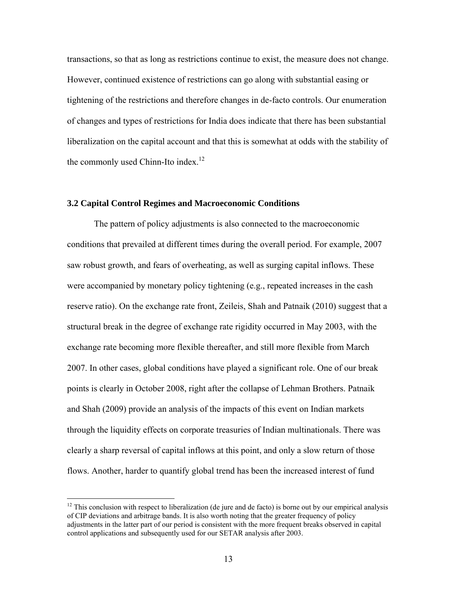transactions, so that as long as restrictions continue to exist, the measure does not change. However, continued existence of restrictions can go along with substantial easing or tightening of the restrictions and therefore changes in de-facto controls. Our enumeration of changes and types of restrictions for India does indicate that there has been substantial liberalization on the capital account and that this is somewhat at odds with the stability of the commonly used Chinn-Ito index. $12$ 

### **3.2 Capital Control Regimes and Macroeconomic Conditions**

The pattern of policy adjustments is also connected to the macroeconomic conditions that prevailed at different times during the overall period. For example, 2007 saw robust growth, and fears of overheating, as well as surging capital inflows. These were accompanied by monetary policy tightening (e.g., repeated increases in the cash reserve ratio). On the exchange rate front, Zeileis, Shah and Patnaik (2010) suggest that a structural break in the degree of exchange rate rigidity occurred in May 2003, with the exchange rate becoming more flexible thereafter, and still more flexible from March 2007. In other cases, global conditions have played a significant role. One of our break points is clearly in October 2008, right after the collapse of Lehman Brothers. Patnaik and Shah (2009) provide an analysis of the impacts of this event on Indian markets through the liquidity effects on corporate treasuries of Indian multinationals. There was clearly a sharp reversal of capital inflows at this point, and only a slow return of those flows. Another, harder to quantify global trend has been the increased interest of fund

<u>.</u>

 $12$  This conclusion with respect to liberalization (de jure and de facto) is borne out by our empirical analysis of CIP deviations and arbitrage bands. It is also worth noting that the greater frequency of policy adjustments in the latter part of our period is consistent with the more frequent breaks observed in capital control applications and subsequently used for our SETAR analysis after 2003.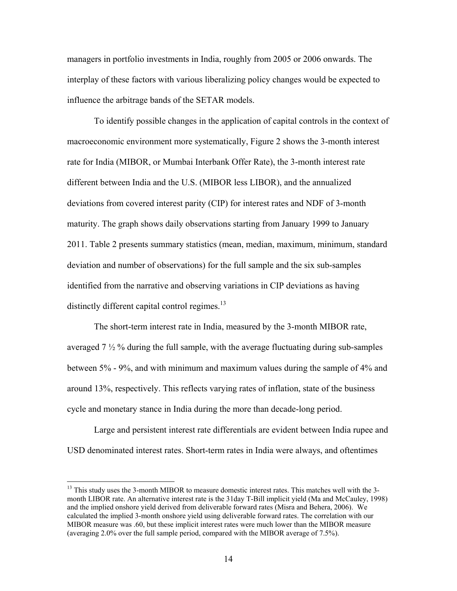managers in portfolio investments in India, roughly from 2005 or 2006 onwards. The interplay of these factors with various liberalizing policy changes would be expected to influence the arbitrage bands of the SETAR models.

To identify possible changes in the application of capital controls in the context of macroeconomic environment more systematically, Figure 2 shows the 3-month interest rate for India (MIBOR, or Mumbai Interbank Offer Rate), the 3-month interest rate different between India and the U.S. (MIBOR less LIBOR), and the annualized deviations from covered interest parity (CIP) for interest rates and NDF of 3-month maturity. The graph shows daily observations starting from January 1999 to January 2011. Table 2 presents summary statistics (mean, median, maximum, minimum, standard deviation and number of observations) for the full sample and the six sub-samples identified from the narrative and observing variations in CIP deviations as having distinctly different capital control regimes. $^{13}$ 

The short-term interest rate in India, measured by the 3-month MIBOR rate, averaged  $7\frac{1}{2}\%$  during the full sample, with the average fluctuating during sub-samples between 5% - 9%, and with minimum and maximum values during the sample of 4% and around 13%, respectively. This reflects varying rates of inflation, state of the business cycle and monetary stance in India during the more than decade-long period.

Large and persistent interest rate differentials are evident between India rupee and USD denominated interest rates. Short-term rates in India were always, and oftentimes

 $\overline{a}$ 

<sup>&</sup>lt;sup>13</sup> This study uses the 3-month MIBOR to measure domestic interest rates. This matches well with the 3month LIBOR rate. An alternative interest rate is the 31day T-Bill implicit yield (Ma and McCauley, 1998) and the implied onshore yield derived from deliverable forward rates (Misra and Behera, 2006). We calculated the implied 3-month onshore yield using deliverable forward rates. The correlation with our MIBOR measure was .60, but these implicit interest rates were much lower than the MIBOR measure (averaging 2.0% over the full sample period, compared with the MIBOR average of 7.5%).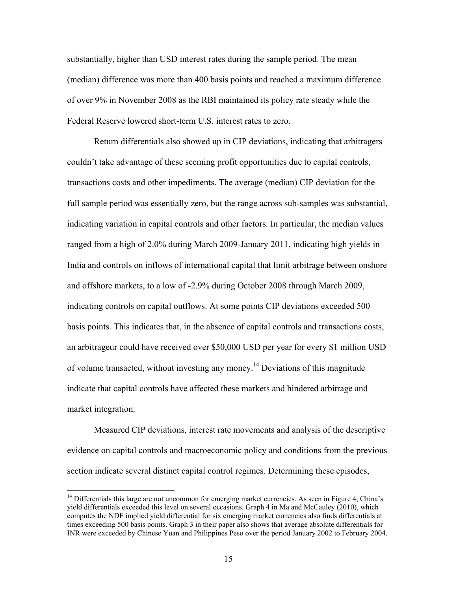substantially, higher than USD interest rates during the sample period. The mean (median) difference was more than 400 basis points and reached a maximum difference of over 9% in November 2008 as the RBI maintained its policy rate steady while the Federal Reserve lowered short-term U.S. interest rates to zero.

Return differentials also showed up in CIP deviations, indicating that arbitragers couldn't take advantage of these seeming profit opportunities due to capital controls, transactions costs and other impediments. The average (median) CIP deviation for the full sample period was essentially zero, but the range across sub-samples was substantial, indicating variation in capital controls and other factors. In particular, the median values ranged from a high of 2.0% during March 2009-January 2011, indicating high yields in India and controls on inflows of international capital that limit arbitrage between onshore and offshore markets, to a low of -2.9% during October 2008 through March 2009, indicating controls on capital outflows. At some points CIP deviations exceeded 500 basis points. This indicates that, in the absence of capital controls and transactions costs, an arbitrageur could have received over \$50,000 USD per year for every \$1 million USD of volume transacted, without investing any money.14 Deviations of this magnitude indicate that capital controls have affected these markets and hindered arbitrage and market integration.

Measured CIP deviations, interest rate movements and analysis of the descriptive evidence on capital controls and macroeconomic policy and conditions from the previous section indicate several distinct capital control regimes. Determining these episodes,

 $\overline{a}$ 

<sup>&</sup>lt;sup>14</sup> Differentials this large are not uncommon for emerging market currencies. As seen in Figure 4, China's yield differentials exceeded this level on several occasions. Graph 4 in Ma and McCauley (2010), which computes the NDF implied yield differential for six emerging market currencies also finds differentials at times exceeding 500 basis points. Graph 3 in their paper also shows that average absolute differentials for INR were exceeded by Chinese Yuan and Philippines Peso over the period January 2002 to February 2004.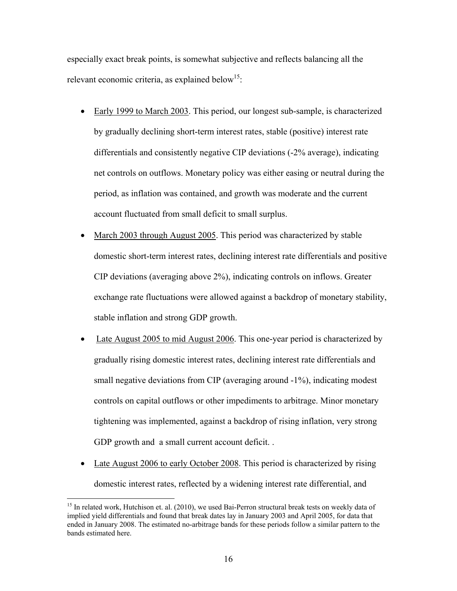especially exact break points, is somewhat subjective and reflects balancing all the relevant economic criteria, as explained below<sup>15</sup>:

- Early 1999 to March 2003. This period, our longest sub-sample, is characterized by gradually declining short-term interest rates, stable (positive) interest rate differentials and consistently negative CIP deviations (-2% average), indicating net controls on outflows. Monetary policy was either easing or neutral during the period, as inflation was contained, and growth was moderate and the current account fluctuated from small deficit to small surplus.
- March 2003 through August 2005. This period was characterized by stable domestic short-term interest rates, declining interest rate differentials and positive CIP deviations (averaging above 2%), indicating controls on inflows. Greater exchange rate fluctuations were allowed against a backdrop of monetary stability, stable inflation and strong GDP growth.
- Late August 2005 to mid August 2006. This one-year period is characterized by gradually rising domestic interest rates, declining interest rate differentials and small negative deviations from CIP (averaging around -1%), indicating modest controls on capital outflows or other impediments to arbitrage. Minor monetary tightening was implemented, against a backdrop of rising inflation, very strong GDP growth and a small current account deficit. .
- Late August 2006 to early October 2008. This period is characterized by rising domestic interest rates, reflected by a widening interest rate differential, and

<u>.</u>

<sup>&</sup>lt;sup>15</sup> In related work, Hutchison et. al. (2010), we used Bai-Perron structural break tests on weekly data of implied yield differentials and found that break dates lay in January 2003 and April 2005, for data that ended in January 2008. The estimated no-arbitrage bands for these periods follow a similar pattern to the bands estimated here.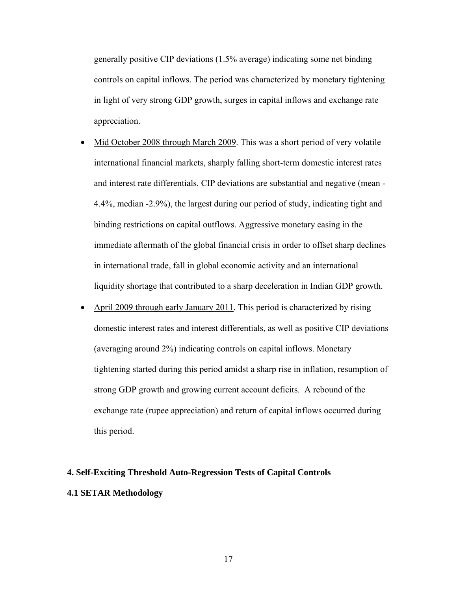generally positive CIP deviations (1.5% average) indicating some net binding controls on capital inflows. The period was characterized by monetary tightening in light of very strong GDP growth, surges in capital inflows and exchange rate appreciation.

- Mid October 2008 through March 2009. This was a short period of very volatile international financial markets, sharply falling short-term domestic interest rates and interest rate differentials. CIP deviations are substantial and negative (mean - 4.4%, median -2.9%), the largest during our period of study, indicating tight and binding restrictions on capital outflows. Aggressive monetary easing in the immediate aftermath of the global financial crisis in order to offset sharp declines in international trade, fall in global economic activity and an international liquidity shortage that contributed to a sharp deceleration in Indian GDP growth.
- April 2009 through early January 2011. This period is characterized by rising domestic interest rates and interest differentials, as well as positive CIP deviations (averaging around 2%) indicating controls on capital inflows. Monetary tightening started during this period amidst a sharp rise in inflation, resumption of strong GDP growth and growing current account deficits. A rebound of the exchange rate (rupee appreciation) and return of capital inflows occurred during this period.

## **4. Self-Exciting Threshold Auto-Regression Tests of Capital Controls 4.1 SETAR Methodology**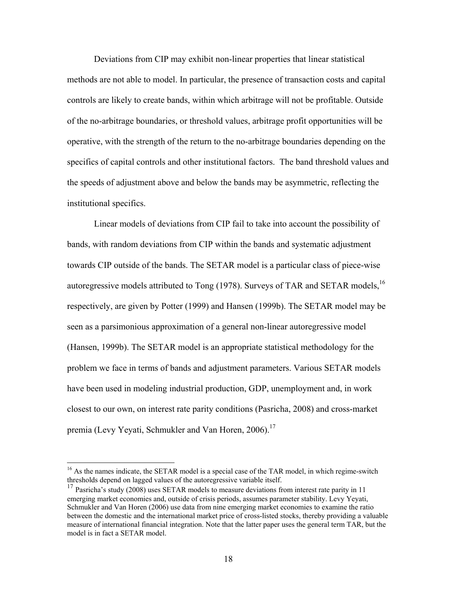Deviations from CIP may exhibit non-linear properties that linear statistical methods are not able to model. In particular, the presence of transaction costs and capital controls are likely to create bands, within which arbitrage will not be profitable. Outside of the no-arbitrage boundaries, or threshold values, arbitrage profit opportunities will be operative, with the strength of the return to the no-arbitrage boundaries depending on the specifics of capital controls and other institutional factors. The band threshold values and the speeds of adjustment above and below the bands may be asymmetric, reflecting the institutional specifics.

Linear models of deviations from CIP fail to take into account the possibility of bands, with random deviations from CIP within the bands and systematic adjustment towards CIP outside of the bands. The SETAR model is a particular class of piece-wise autoregressive models attributed to Tong  $(1978)$ . Surveys of TAR and SETAR models, <sup>16</sup> respectively, are given by Potter (1999) and Hansen (1999b). The SETAR model may be seen as a parsimonious approximation of a general non-linear autoregressive model (Hansen, 1999b). The SETAR model is an appropriate statistical methodology for the problem we face in terms of bands and adjustment parameters. Various SETAR models have been used in modeling industrial production, GDP, unemployment and, in work closest to our own, on interest rate parity conditions (Pasricha, 2008) and cross-market premia (Levy Yeyati, Schmukler and Van Horen, 2006).<sup>17</sup>

 $\overline{a}$ 

<sup>&</sup>lt;sup>16</sup> As the names indicate, the SETAR model is a special case of the TAR model, in which regime-switch thresholds depend on lagged values of the autoregressive variable itself.

<sup>&</sup>lt;sup>17</sup> Pasricha's study (2008) uses SETAR models to measure deviations from interest rate parity in 11 emerging market economies and, outside of crisis periods, assumes parameter stability. Levy Yeyati, Schmukler and Van Horen (2006) use data from nine emerging market economies to examine the ratio between the domestic and the international market price of cross-listed stocks, thereby providing a valuable measure of international financial integration. Note that the latter paper uses the general term TAR, but the model is in fact a SETAR model.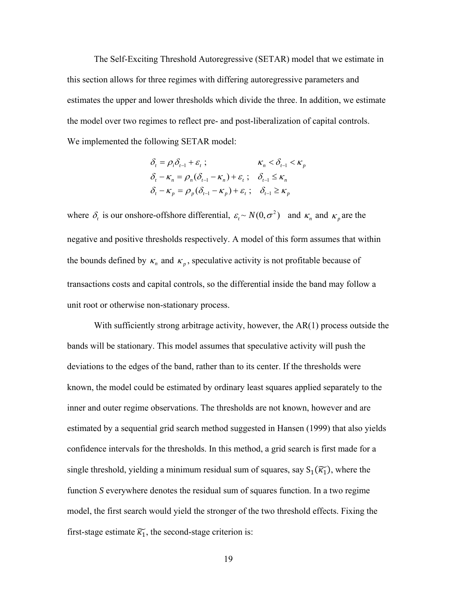The Self-Exciting Threshold Autoregressive (SETAR) model that we estimate in this section allows for three regimes with differing autoregressive parameters and estimates the upper and lower thresholds which divide the three. In addition, we estimate the model over two regimes to reflect pre- and post-liberalization of capital controls. We implemented the following SETAR model:

$$
\delta_{t} = \rho_{i}\delta_{t-1} + \varepsilon_{t} ; \qquad \kappa_{n} < \delta_{t-1} < \kappa_{p}
$$
\n
$$
\delta_{t} - \kappa_{n} = \rho_{n}(\delta_{t-1} - \kappa_{n}) + \varepsilon_{t} ; \quad \delta_{t-1} \le \kappa_{n}
$$
\n
$$
\delta_{t} - \kappa_{p} = \rho_{p}(\delta_{t-1} - \kappa_{p}) + \varepsilon_{t} ; \quad \delta_{t-1} \ge \kappa_{p}
$$

where  $\delta_t$  is our onshore-offshore differential,  $\varepsilon_t \sim N(0, \sigma^2)$  and  $\kappa_n$  and  $\kappa_p$  are the negative and positive thresholds respectively. A model of this form assumes that within the bounds defined by  $\kappa_n$  and  $\kappa_p$ , speculative activity is not profitable because of transactions costs and capital controls, so the differential inside the band may follow a unit root or otherwise non-stationary process.

With sufficiently strong arbitrage activity, however, the  $AR(1)$  process outside the bands will be stationary. This model assumes that speculative activity will push the deviations to the edges of the band, rather than to its center. If the thresholds were known, the model could be estimated by ordinary least squares applied separately to the inner and outer regime observations. The thresholds are not known, however and are estimated by a sequential grid search method suggested in Hansen (1999) that also yields confidence intervals for the thresholds. In this method, a grid search is first made for a single threshold, yielding a minimum residual sum of squares, say  $S_1(\widetilde{\kappa_1})$ , where the function *S* everywhere denotes the residual sum of squares function. In a two regime model, the first search would yield the stronger of the two threshold effects. Fixing the first-stage estimate  $\widetilde{\kappa_1}$ , the second-stage criterion is: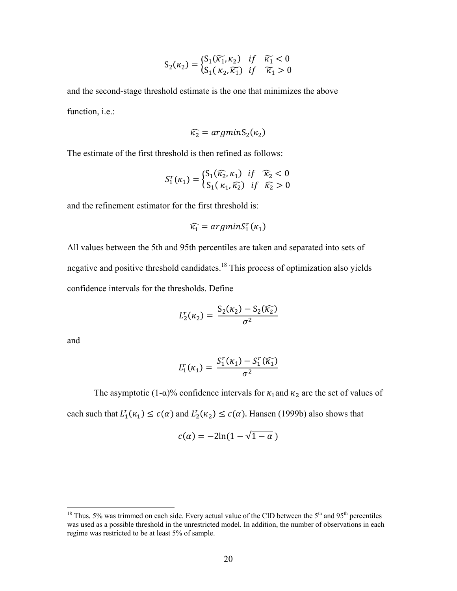$$
S_2(\kappa_2) = \begin{cases} S_1(\widetilde{\kappa_1}, \kappa_2) & \text{if } \widetilde{\kappa_1} < 0 \\ S_1(\kappa_2, \widetilde{\kappa_1}) & \text{if } \widetilde{\kappa_1} > 0 \end{cases}
$$

and the second-stage threshold estimate is the one that minimizes the above function, *i.e.*:

$$
\widehat{\kappa_2} = argmin S_2(\kappa_2)
$$

The estimate of the first threshold is then refined as follows:

$$
S_1^r(\kappa_1) = \begin{cases} S_1(\widehat{\kappa_2}, \kappa_1) & \text{if } \widehat{\kappa_2} < 0 \\ S_1(\kappa_1, \widehat{\kappa_2}) & \text{if } \widehat{\kappa_2} > 0 \end{cases}
$$

and the refinement estimator for the first threshold is:

$$
\widehat{\kappa_1} = argmin S_1^r(\kappa_1)
$$

All values between the 5th and 95th percentiles are taken and separated into sets of negative and positive threshold candidates.<sup>18</sup> This process of optimization also yields confidence intervals for the thresholds. Define

$$
L_2^r(\kappa_2) = \frac{S_2(\kappa_2) - S_2(\widehat{\kappa_2})}{\sigma^2}
$$

and

 $\overline{a}$ 

$$
L_1^r(\kappa_1) = \frac{S_1^r(\kappa_1) - S_1^r(\widehat{\kappa_1})}{\sigma^2}
$$

The asymptotic (1- $\alpha$ )% confidence intervals for  $\kappa_1$  and  $\kappa_2$  are the set of values of each such that  $L_1^r(\kappa_1) \leq c(\alpha)$  and  $L_2^r(\kappa_2) \leq c(\alpha)$ . Hansen (1999b) also shows that

$$
c(\alpha) = -2\ln(1-\sqrt{1-\alpha})
$$

<sup>&</sup>lt;sup>18</sup> Thus, 5% was trimmed on each side. Every actual value of the CID between the 5<sup>th</sup> and 95<sup>th</sup> percentiles was used as a possible threshold in the unrestricted model. In addition, the number of observations in each regime was restricted to be at least 5% of sample.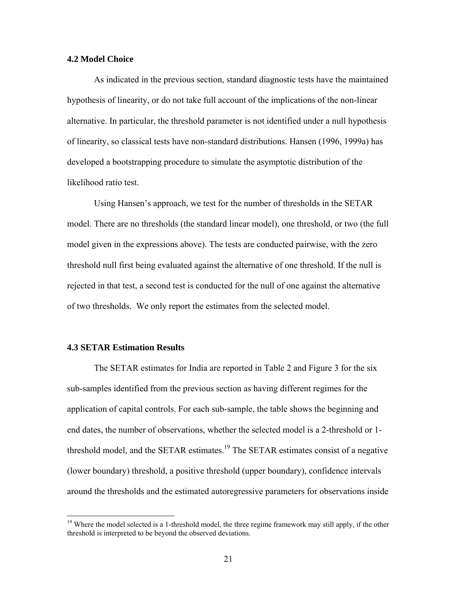### **4.2 Model Choice**

 As indicated in the previous section, standard diagnostic tests have the maintained hypothesis of linearity, or do not take full account of the implications of the non-linear alternative. In particular, the threshold parameter is not identified under a null hypothesis of linearity, so classical tests have non-standard distributions. Hansen (1996, 1999a) has developed a bootstrapping procedure to simulate the asymptotic distribution of the likelihood ratio test.

 Using Hansen's approach, we test for the number of thresholds in the SETAR model. There are no thresholds (the standard linear model), one threshold, or two (the full model given in the expressions above). The tests are conducted pairwise, with the zero threshold null first being evaluated against the alternative of one threshold. If the null is rejected in that test, a second test is conducted for the null of one against the alternative of two thresholds. We only report the estimates from the selected model.

#### **4.3 SETAR Estimation Results**

1

The SETAR estimates for India are reported in Table 2 and Figure 3 for the six sub-samples identified from the previous section as having different regimes for the application of capital controls. For each sub-sample, the table shows the beginning and end dates, the number of observations, whether the selected model is a 2-threshold or 1 threshold model, and the SETAR estimates.<sup>19</sup> The SETAR estimates consist of a negative (lower boundary) threshold, a positive threshold (upper boundary), confidence intervals around the thresholds and the estimated autoregressive parameters for observations inside

<sup>&</sup>lt;sup>19</sup> Where the model selected is a 1-threshold model, the three regime framework may still apply, if the other threshold is interpreted to be beyond the observed deviations.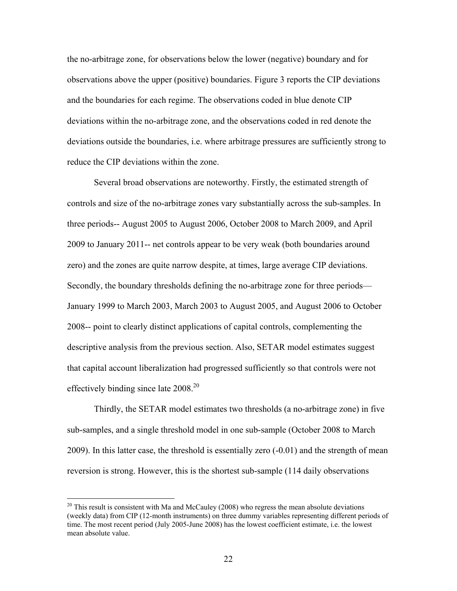the no-arbitrage zone, for observations below the lower (negative) boundary and for observations above the upper (positive) boundaries. Figure 3 reports the CIP deviations and the boundaries for each regime. The observations coded in blue denote CIP deviations within the no-arbitrage zone, and the observations coded in red denote the deviations outside the boundaries, i.e. where arbitrage pressures are sufficiently strong to reduce the CIP deviations within the zone.

Several broad observations are noteworthy. Firstly, the estimated strength of controls and size of the no-arbitrage zones vary substantially across the sub-samples. In three periods-- August 2005 to August 2006, October 2008 to March 2009, and April 2009 to January 2011-- net controls appear to be very weak (both boundaries around zero) and the zones are quite narrow despite, at times, large average CIP deviations. Secondly, the boundary thresholds defining the no-arbitrage zone for three periods— January 1999 to March 2003, March 2003 to August 2005, and August 2006 to October 2008-- point to clearly distinct applications of capital controls, complementing the descriptive analysis from the previous section. Also, SETAR model estimates suggest that capital account liberalization had progressed sufficiently so that controls were not effectively binding since late  $2008^{20}$ 

Thirdly, the SETAR model estimates two thresholds (a no-arbitrage zone) in five sub-samples, and a single threshold model in one sub-sample (October 2008 to March 2009). In this latter case, the threshold is essentially zero (-0.01) and the strength of mean reversion is strong. However, this is the shortest sub-sample (114 daily observations

 $\overline{a}$ 

<sup>&</sup>lt;sup>20</sup> This result is consistent with Ma and McCauley (2008) who regress the mean absolute deviations (weekly data) from CIP (12-month instruments) on three dummy variables representing different periods of time. The most recent period (July 2005-June 2008) has the lowest coefficient estimate, i.e. the lowest mean absolute value.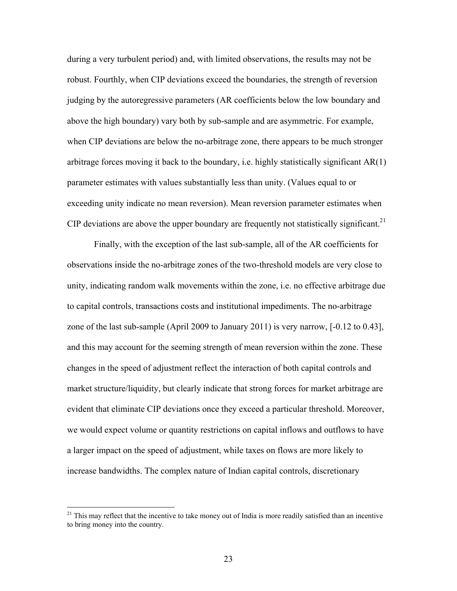during a very turbulent period) and, with limited observations, the results may not be robust. Fourthly, when CIP deviations exceed the boundaries, the strength of reversion judging by the autoregressive parameters (AR coefficients below the low boundary and above the high boundary) vary both by sub-sample and are asymmetric. For example, when CIP deviations are below the no-arbitrage zone, there appears to be much stronger arbitrage forces moving it back to the boundary, i.e. highly statistically significant AR(1) parameter estimates with values substantially less than unity. (Values equal to or exceeding unity indicate no mean reversion). Mean reversion parameter estimates when CIP deviations are above the upper boundary are frequently not statistically significant.<sup>21</sup>

Finally, with the exception of the last sub-sample, all of the AR coefficients for observations inside the no-arbitrage zones of the two-threshold models are very close to unity, indicating random walk movements within the zone, i.e. no effective arbitrage due to capital controls, transactions costs and institutional impediments. The no-arbitrage zone of the last sub-sample (April 2009 to January 2011) is very narrow, [-0.12 to 0.43], and this may account for the seeming strength of mean reversion within the zone. These changes in the speed of adjustment reflect the interaction of both capital controls and market structure/liquidity, but clearly indicate that strong forces for market arbitrage are evident that eliminate CIP deviations once they exceed a particular threshold. Moreover, we would expect volume or quantity restrictions on capital inflows and outflows to have a larger impact on the speed of adjustment, while taxes on flows are more likely to increase bandwidths. The complex nature of Indian capital controls, discretionary

 $21$  This may reflect that the incentive to take money out of India is more readily satisfied than an incentive to bring money into the country.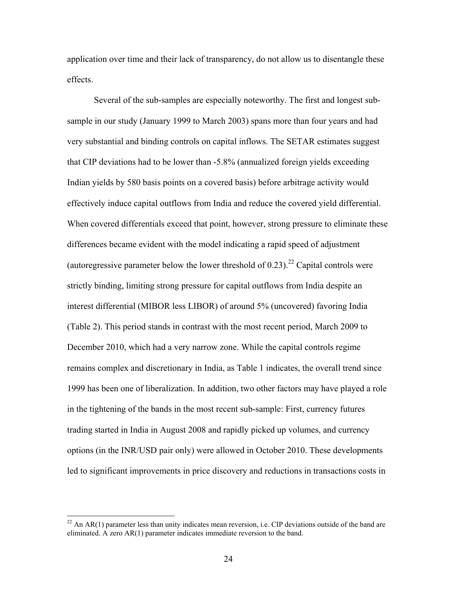application over time and their lack of transparency, do not allow us to disentangle these effects.

Several of the sub-samples are especially noteworthy. The first and longest subsample in our study (January 1999 to March 2003) spans more than four years and had very substantial and binding controls on capital inflows. The SETAR estimates suggest that CIP deviations had to be lower than -5.8% (annualized foreign yields exceeding Indian yields by 580 basis points on a covered basis) before arbitrage activity would effectively induce capital outflows from India and reduce the covered yield differential. When covered differentials exceed that point, however, strong pressure to eliminate these differences became evident with the model indicating a rapid speed of adjustment (autoregressive parameter below the lower threshold of  $0.23$ ).<sup>22</sup> Capital controls were strictly binding, limiting strong pressure for capital outflows from India despite an interest differential (MIBOR less LIBOR) of around 5% (uncovered) favoring India (Table 2). This period stands in contrast with the most recent period, March 2009 to December 2010, which had a very narrow zone. While the capital controls regime remains complex and discretionary in India, as Table 1 indicates, the overall trend since 1999 has been one of liberalization. In addition, two other factors may have played a role in the tightening of the bands in the most recent sub-sample: First, currency futures trading started in India in August 2008 and rapidly picked up volumes, and currency options (in the INR/USD pair only) were allowed in October 2010. These developments led to significant improvements in price discovery and reductions in transactions costs in

 $\overline{a}$ 

 $^{22}$  An AR(1) parameter less than unity indicates mean reversion, i.e. CIP deviations outside of the band are eliminated. A zero AR(1) parameter indicates immediate reversion to the band.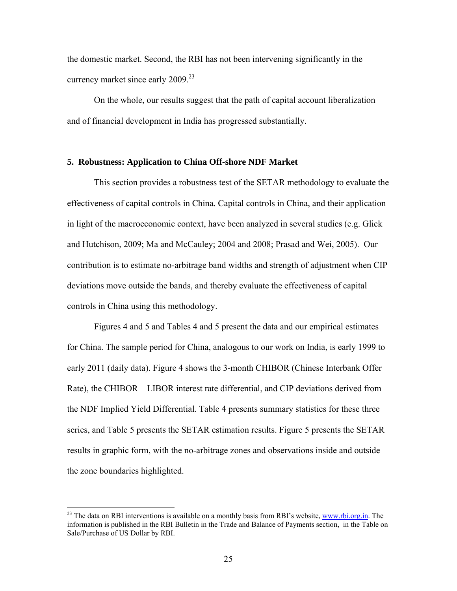the domestic market. Second, the RBI has not been intervening significantly in the currency market since early 2009.<sup>23</sup>

On the whole, our results suggest that the path of capital account liberalization and of financial development in India has progressed substantially.

#### **5. Robustness: Application to China Off-shore NDF Market**

This section provides a robustness test of the SETAR methodology to evaluate the effectiveness of capital controls in China. Capital controls in China, and their application in light of the macroeconomic context, have been analyzed in several studies (e.g. Glick and Hutchison, 2009; Ma and McCauley; 2004 and 2008; Prasad and Wei, 2005). Our contribution is to estimate no-arbitrage band widths and strength of adjustment when CIP deviations move outside the bands, and thereby evaluate the effectiveness of capital controls in China using this methodology.

Figures 4 and 5 and Tables 4 and 5 present the data and our empirical estimates for China. The sample period for China, analogous to our work on India, is early 1999 to early 2011 (daily data). Figure 4 shows the 3-month CHIBOR (Chinese Interbank Offer Rate), the CHIBOR – LIBOR interest rate differential, and CIP deviations derived from the NDF Implied Yield Differential. Table 4 presents summary statistics for these three series, and Table 5 presents the SETAR estimation results. Figure 5 presents the SETAR results in graphic form, with the no-arbitrage zones and observations inside and outside the zone boundaries highlighted.

 $\overline{a}$ 

 $^{23}$  The data on RBI interventions is available on a monthly basis from RBI's website, www.rbi.org.in. The information is published in the RBI Bulletin in the Trade and Balance of Payments section, in the Table on Sale/Purchase of US Dollar by RBI.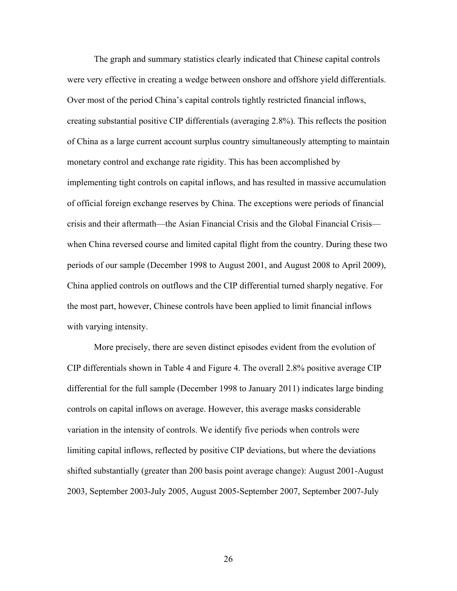The graph and summary statistics clearly indicated that Chinese capital controls were very effective in creating a wedge between onshore and offshore yield differentials. Over most of the period China's capital controls tightly restricted financial inflows, creating substantial positive CIP differentials (averaging 2.8%). This reflects the position of China as a large current account surplus country simultaneously attempting to maintain monetary control and exchange rate rigidity. This has been accomplished by implementing tight controls on capital inflows, and has resulted in massive accumulation of official foreign exchange reserves by China. The exceptions were periods of financial crisis and their aftermath—the Asian Financial Crisis and the Global Financial Crisis when China reversed course and limited capital flight from the country. During these two periods of our sample (December 1998 to August 2001, and August 2008 to April 2009), China applied controls on outflows and the CIP differential turned sharply negative. For the most part, however, Chinese controls have been applied to limit financial inflows with varying intensity.

More precisely, there are seven distinct episodes evident from the evolution of CIP differentials shown in Table 4 and Figure 4. The overall 2.8% positive average CIP differential for the full sample (December 1998 to January 2011) indicates large binding controls on capital inflows on average. However, this average masks considerable variation in the intensity of controls. We identify five periods when controls were limiting capital inflows, reflected by positive CIP deviations, but where the deviations shifted substantially (greater than 200 basis point average change): August 2001-August 2003, September 2003-July 2005, August 2005-September 2007, September 2007-July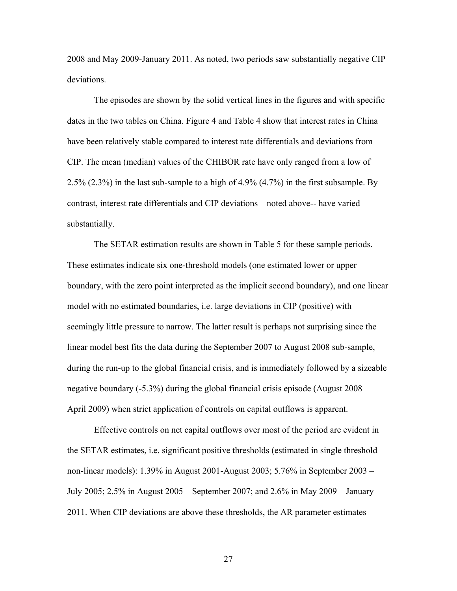2008 and May 2009-January 2011. As noted, two periods saw substantially negative CIP deviations.

The episodes are shown by the solid vertical lines in the figures and with specific dates in the two tables on China. Figure 4 and Table 4 show that interest rates in China have been relatively stable compared to interest rate differentials and deviations from CIP. The mean (median) values of the CHIBOR rate have only ranged from a low of 2.5% (2.3%) in the last sub-sample to a high of 4.9% (4.7%) in the first subsample. By contrast, interest rate differentials and CIP deviations—noted above-- have varied substantially.

The SETAR estimation results are shown in Table 5 for these sample periods. These estimates indicate six one-threshold models (one estimated lower or upper boundary, with the zero point interpreted as the implicit second boundary), and one linear model with no estimated boundaries, i.e. large deviations in CIP (positive) with seemingly little pressure to narrow. The latter result is perhaps not surprising since the linear model best fits the data during the September 2007 to August 2008 sub-sample, during the run-up to the global financial crisis, and is immediately followed by a sizeable negative boundary (-5.3%) during the global financial crisis episode (August 2008 – April 2009) when strict application of controls on capital outflows is apparent.

Effective controls on net capital outflows over most of the period are evident in the SETAR estimates, i.e. significant positive thresholds (estimated in single threshold non-linear models): 1.39% in August 2001-August 2003; 5.76% in September 2003 – July 2005; 2.5% in August 2005 – September 2007; and 2.6% in May 2009 – January 2011. When CIP deviations are above these thresholds, the AR parameter estimates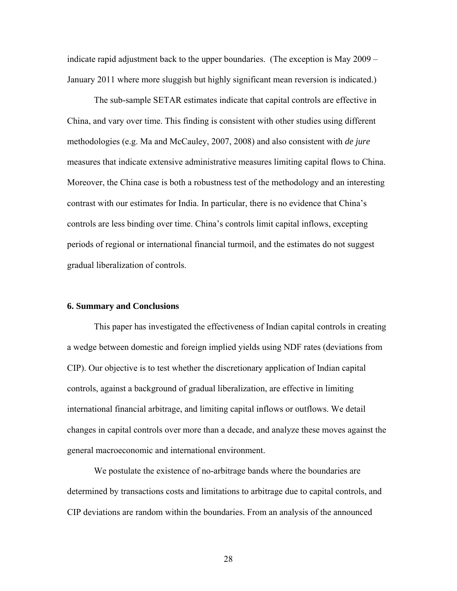indicate rapid adjustment back to the upper boundaries. (The exception is May 2009 – January 2011 where more sluggish but highly significant mean reversion is indicated.)

The sub-sample SETAR estimates indicate that capital controls are effective in China, and vary over time. This finding is consistent with other studies using different methodologies (e.g. Ma and McCauley, 2007, 2008) and also consistent with *de jure* measures that indicate extensive administrative measures limiting capital flows to China. Moreover, the China case is both a robustness test of the methodology and an interesting contrast with our estimates for India. In particular, there is no evidence that China's controls are less binding over time. China's controls limit capital inflows, excepting periods of regional or international financial turmoil, and the estimates do not suggest gradual liberalization of controls.

### **6. Summary and Conclusions**

This paper has investigated the effectiveness of Indian capital controls in creating a wedge between domestic and foreign implied yields using NDF rates (deviations from CIP). Our objective is to test whether the discretionary application of Indian capital controls, against a background of gradual liberalization, are effective in limiting international financial arbitrage, and limiting capital inflows or outflows. We detail changes in capital controls over more than a decade, and analyze these moves against the general macroeconomic and international environment.

We postulate the existence of no-arbitrage bands where the boundaries are determined by transactions costs and limitations to arbitrage due to capital controls, and CIP deviations are random within the boundaries. From an analysis of the announced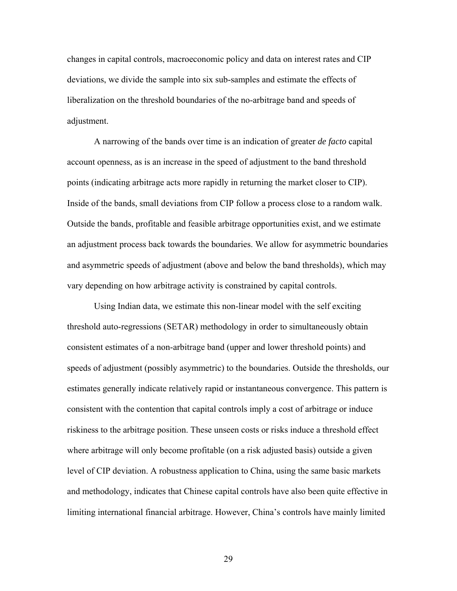changes in capital controls, macroeconomic policy and data on interest rates and CIP deviations, we divide the sample into six sub-samples and estimate the effects of liberalization on the threshold boundaries of the no-arbitrage band and speeds of adjustment.

A narrowing of the bands over time is an indication of greater *de facto* capital account openness, as is an increase in the speed of adjustment to the band threshold points (indicating arbitrage acts more rapidly in returning the market closer to CIP). Inside of the bands, small deviations from CIP follow a process close to a random walk. Outside the bands, profitable and feasible arbitrage opportunities exist, and we estimate an adjustment process back towards the boundaries. We allow for asymmetric boundaries and asymmetric speeds of adjustment (above and below the band thresholds), which may vary depending on how arbitrage activity is constrained by capital controls.

Using Indian data, we estimate this non-linear model with the self exciting threshold auto-regressions (SETAR) methodology in order to simultaneously obtain consistent estimates of a non-arbitrage band (upper and lower threshold points) and speeds of adjustment (possibly asymmetric) to the boundaries. Outside the thresholds, our estimates generally indicate relatively rapid or instantaneous convergence. This pattern is consistent with the contention that capital controls imply a cost of arbitrage or induce riskiness to the arbitrage position. These unseen costs or risks induce a threshold effect where arbitrage will only become profitable (on a risk adjusted basis) outside a given level of CIP deviation. A robustness application to China, using the same basic markets and methodology, indicates that Chinese capital controls have also been quite effective in limiting international financial arbitrage. However, China's controls have mainly limited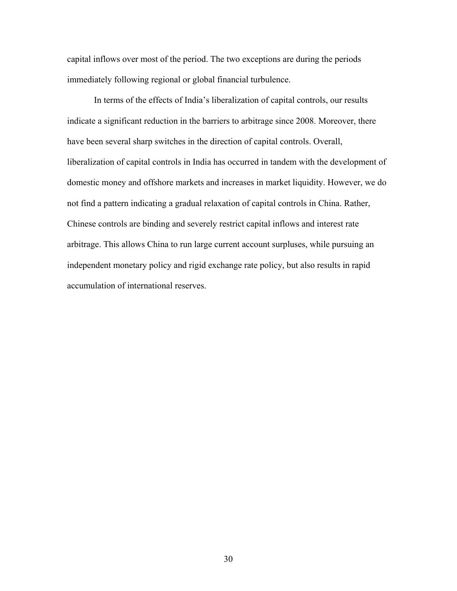capital inflows over most of the period. The two exceptions are during the periods immediately following regional or global financial turbulence.

In terms of the effects of India's liberalization of capital controls, our results indicate a significant reduction in the barriers to arbitrage since 2008. Moreover, there have been several sharp switches in the direction of capital controls. Overall, liberalization of capital controls in India has occurred in tandem with the development of domestic money and offshore markets and increases in market liquidity. However, we do not find a pattern indicating a gradual relaxation of capital controls in China. Rather, Chinese controls are binding and severely restrict capital inflows and interest rate arbitrage. This allows China to run large current account surpluses, while pursuing an independent monetary policy and rigid exchange rate policy, but also results in rapid accumulation of international reserves.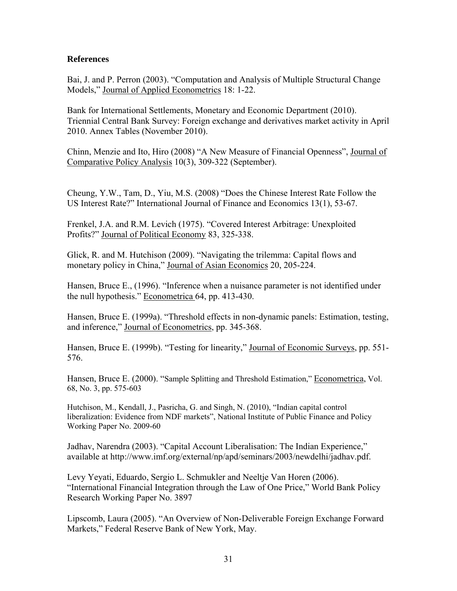### **References**

Bai, J. and P. Perron (2003). "Computation and Analysis of Multiple Structural Change Models," Journal of Applied Econometrics 18: 1-22.

Bank for International Settlements, Monetary and Economic Department (2010). Triennial Central Bank Survey: Foreign exchange and derivatives market activity in April 2010. Annex Tables (November 2010).

Chinn, Menzie and Ito, Hiro (2008) "A New Measure of Financial Openness", Journal of Comparative Policy Analysis 10(3), 309-322 (September).

Cheung, Y.W., Tam, D., Yiu, M.S. (2008) "Does the Chinese Interest Rate Follow the US Interest Rate?" International Journal of Finance and Economics 13(1), 53-67.

Frenkel, J.A. and R.M. Levich (1975). "Covered Interest Arbitrage: Unexploited Profits?" Journal of Political Economy 83, 325-338.

Glick, R. and M. Hutchison (2009). "Navigating the trilemma: Capital flows and monetary policy in China," Journal of Asian Economics 20, 205-224.

Hansen, Bruce E., (1996). "Inference when a nuisance parameter is not identified under the null hypothesis." Econometrica 64, pp. 413-430.

Hansen, Bruce E. (1999a). "Threshold effects in non-dynamic panels: Estimation, testing, and inference," Journal of Econometrics, pp. 345-368.

Hansen, Bruce E. (1999b). "Testing for linearity," Journal of Economic Surveys, pp. 551- 576.

Hansen, Bruce E. (2000). "Sample Splitting and Threshold Estimation," Econometrica, Vol. 68, No. 3, pp. 575-603

Hutchison, M., Kendall, J., Pasricha, G. and Singh, N. (2010), "Indian capital control liberalization: Evidence from NDF markets", National Institute of Public Finance and Policy Working Paper No. 2009-60

Jadhav, Narendra (2003). "Capital Account Liberalisation: The Indian Experience," available at http://www.imf.org/external/np/apd/seminars/2003/newdelhi/jadhav.pdf.

Levy Yeyati, Eduardo, Sergio L. Schmukler and Neeltje Van Horen (2006). "International Financial Integration through the Law of One Price," World Bank Policy Research Working Paper No. 3897

Lipscomb, Laura (2005). "An Overview of Non-Deliverable Foreign Exchange Forward Markets," Federal Reserve Bank of New York, May.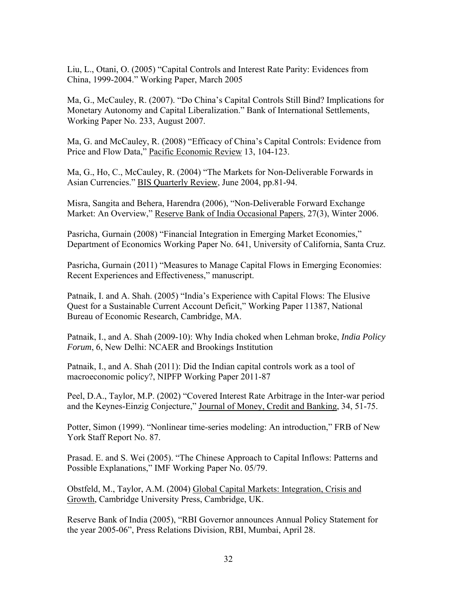Liu, L., Otani, O. (2005) "Capital Controls and Interest Rate Parity: Evidences from China, 1999-2004." Working Paper, March 2005

Ma, G., McCauley, R. (2007). "Do China's Capital Controls Still Bind? Implications for Monetary Autonomy and Capital Liberalization." Bank of International Settlements, Working Paper No. 233, August 2007.

Ma, G. and McCauley, R. (2008) "Efficacy of China's Capital Controls: Evidence from Price and Flow Data," Pacific Economic Review 13, 104-123.

Ma, G., Ho, C., McCauley, R. (2004) "The Markets for Non-Deliverable Forwards in Asian Currencies." BIS Quarterly Review, June 2004, pp.81-94.

Misra, Sangita and Behera, Harendra (2006), "Non-Deliverable Forward Exchange Market: An Overview," Reserve Bank of India Occasional Papers, 27(3), Winter 2006.

Pasricha, Gurnain (2008) "Financial Integration in Emerging Market Economies," Department of Economics Working Paper No. 641, University of California, Santa Cruz.

Pasricha, Gurnain (2011) "Measures to Manage Capital Flows in Emerging Economies: Recent Experiences and Effectiveness," manuscript.

Patnaik, I. and A. Shah. (2005) "India's Experience with Capital Flows: The Elusive Quest for a Sustainable Current Account Deficit," Working Paper 11387, National Bureau of Economic Research, Cambridge, MA.

Patnaik, I., and A. Shah (2009-10): Why India choked when Lehman broke, *India Policy Forum*, 6, New Delhi: NCAER and Brookings Institution

Patnaik, I., and A. Shah (2011): Did the Indian capital controls work as a tool of macroeconomic policy?, NIPFP Working Paper 2011-87

Peel, D.A., Taylor, M.P. (2002) "Covered Interest Rate Arbitrage in the Inter-war period and the Keynes-Einzig Conjecture," Journal of Money, Credit and Banking, 34, 51-75.

Potter, Simon (1999). "Nonlinear time-series modeling: An introduction," FRB of New York Staff Report No. 87.

Prasad. E. and S. Wei (2005). "The Chinese Approach to Capital Inflows: Patterns and Possible Explanations," IMF Working Paper No. 05/79.

Obstfeld, M., Taylor, A.M. (2004) Global Capital Markets: Integration, Crisis and Growth, Cambridge University Press, Cambridge, UK.

Reserve Bank of India (2005), "RBI Governor announces Annual Policy Statement for the year 2005-06", Press Relations Division, RBI, Mumbai, April 28.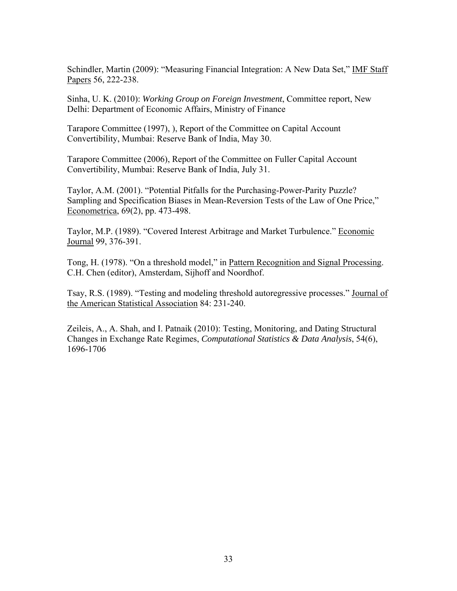Schindler, Martin (2009): "Measuring Financial Integration: A New Data Set," IMF Staff Papers 56, 222-238.

Sinha, U. K. (2010): *Working Group on Foreign Investment*, Committee report, New Delhi: Department of Economic Affairs, Ministry of Finance

Tarapore Committee (1997), ), Report of the Committee on Capital Account Convertibility, Mumbai: Reserve Bank of India, May 30.

Tarapore Committee (2006), Report of the Committee on Fuller Capital Account Convertibility, Mumbai: Reserve Bank of India, July 31.

Taylor, A.M. (2001). "Potential Pitfalls for the Purchasing-Power-Parity Puzzle? Sampling and Specification Biases in Mean-Reversion Tests of the Law of One Price," Econometrica, 69(2), pp. 473-498.

Taylor, M.P. (1989). "Covered Interest Arbitrage and Market Turbulence." Economic Journal 99, 376-391.

Tong, H. (1978). "On a threshold model," in Pattern Recognition and Signal Processing. C.H. Chen (editor), Amsterdam, Sijhoff and Noordhof.

Tsay, R.S. (1989). "Testing and modeling threshold autoregressive processes." Journal of the American Statistical Association 84: 231-240.

Zeileis, A., A. Shah, and I. Patnaik (2010): Testing, Monitoring, and Dating Structural Changes in Exchange Rate Regimes, *Computational Statistics & Data Analysis*, 54(6), 1696-1706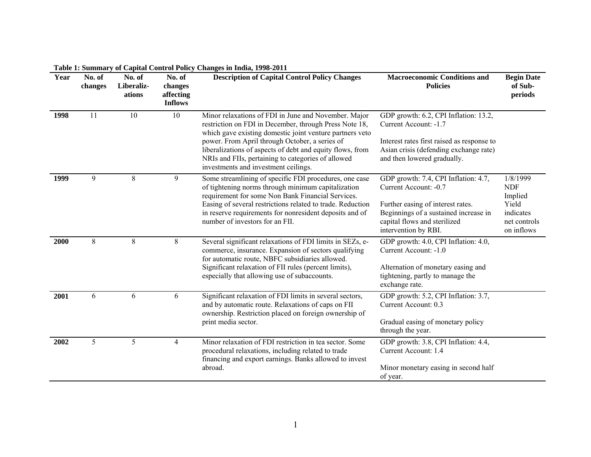| Year | No. of<br>changes | No. of<br>Liberaliz-<br>ations | No. of<br>changes<br>affecting<br><b>Inflows</b> | <b>Description of Capital Control Policy Changes</b>                                                                                                                                                                                                                                                                                                                                    | <b>Macroeconomic Conditions and</b><br><b>Policies</b>                                                                                                                                              | <b>Begin Date</b><br>of Sub-<br>periods                                               |
|------|-------------------|--------------------------------|--------------------------------------------------|-----------------------------------------------------------------------------------------------------------------------------------------------------------------------------------------------------------------------------------------------------------------------------------------------------------------------------------------------------------------------------------------|-----------------------------------------------------------------------------------------------------------------------------------------------------------------------------------------------------|---------------------------------------------------------------------------------------|
| 1998 | 11                | 10                             | 10                                               | Minor relaxations of FDI in June and November. Major<br>restriction on FDI in December, through Press Note 18,<br>which gave existing domestic joint venture partners veto<br>power. From April through October, a series of<br>liberalizations of aspects of debt and equity flows, from<br>NRIs and FIIs, pertaining to categories of allowed<br>investments and investment ceilings. | GDP growth: 6.2, CPI Inflation: 13.2,<br>Current Account: -1.7<br>Interest rates first raised as response to<br>Asian crisis (defending exchange rate)<br>and then lowered gradually.               |                                                                                       |
| 1999 | 9                 | 8                              | 9                                                | Some streamlining of specific FDI procedures, one case<br>of tightening norms through minimum capitalization<br>requirement for some Non Bank Financial Services.<br>Easing of several restrictions related to trade. Reduction<br>in reserve requirements for nonresident deposits and of<br>number of investors for an FII.                                                           | GDP growth: 7.4, CPI Inflation: 4.7,<br>Current Account: -0.7<br>Further easing of interest rates.<br>Beginnings of a sustained increase in<br>capital flows and sterilized<br>intervention by RBI. | 1/8/1999<br><b>NDF</b><br>Implied<br>Yield<br>indicates<br>net controls<br>on inflows |
| 2000 | $\,8\,$           | 8                              | 8                                                | Several significant relaxations of FDI limits in SEZs, e-<br>commerce, insurance. Expansion of sectors qualifying<br>for automatic route, NBFC subsidiaries allowed.<br>Significant relaxation of FII rules (percent limits),<br>especially that allowing use of subaccounts.                                                                                                           | GDP growth: 4.0, CPI Inflation: 4.0,<br>Current Account: -1.0<br>Alternation of monetary easing and<br>tightening, partly to manage the<br>exchange rate.                                           |                                                                                       |
| 2001 | 6                 | 6                              | 6                                                | Significant relaxation of FDI limits in several sectors,<br>and by automatic route. Relaxations of caps on FII<br>ownership. Restriction placed on foreign ownership of<br>print media sector.                                                                                                                                                                                          | GDP growth: 5.2, CPI Inflation: 3.7,<br>Current Account: 0.3<br>Gradual easing of monetary policy<br>through the year.                                                                              |                                                                                       |
| 2002 | 5                 | 5                              | $\overline{4}$                                   | Minor relaxation of FDI restriction in tea sector. Some<br>procedural relaxations, including related to trade<br>financing and export earnings. Banks allowed to invest<br>abroad.                                                                                                                                                                                                      | GDP growth: 3.8, CPI Inflation: 4.4,<br>Current Account: 1.4<br>Minor monetary easing in second half<br>of year.                                                                                    |                                                                                       |

**Table 1: Summary of Capital Control Policy Changes in India, 1998-2011**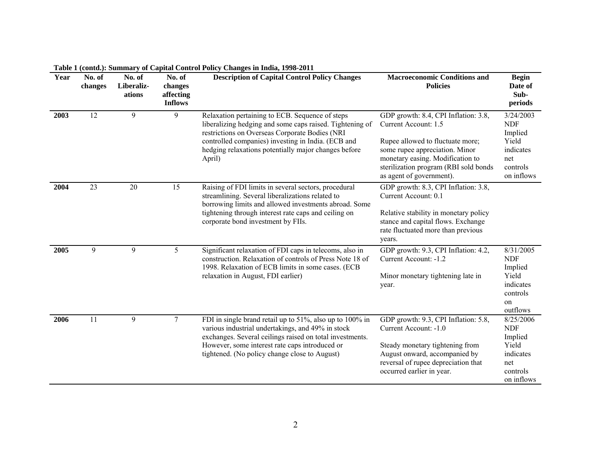| Year | No. of<br>changes | No. of<br>Liberaliz-<br>ations | No. of<br>changes<br>affecting<br><b>Inflows</b> | <b>Description of Capital Control Policy Changes</b>                                                                                                                                                                                                                                  | <b>Macroeconomic Conditions and</b><br><b>Policies</b>                                                                                                                                                                                      | <b>Begin</b><br>Date of<br>Sub-<br>periods                                                |
|------|-------------------|--------------------------------|--------------------------------------------------|---------------------------------------------------------------------------------------------------------------------------------------------------------------------------------------------------------------------------------------------------------------------------------------|---------------------------------------------------------------------------------------------------------------------------------------------------------------------------------------------------------------------------------------------|-------------------------------------------------------------------------------------------|
| 2003 | $\overline{12}$   | 9                              | 9                                                | Relaxation pertaining to ECB. Sequence of steps<br>liberalizing hedging and some caps raised. Tightening of<br>restrictions on Overseas Corporate Bodies (NRI<br>controlled companies) investing in India. (ECB and<br>hedging relaxations potentially major changes before<br>April) | GDP growth: 8.4, CPI Inflation: 3.8,<br>Current Account: 1.5<br>Rupee allowed to fluctuate more;<br>some rupee appreciation. Minor<br>monetary easing. Modification to<br>sterilization program (RBI sold bonds<br>as agent of government). | 3/24/2003<br><b>NDF</b><br>Implied<br>Yield<br>indicates<br>net<br>controls<br>on inflows |
| 2004 | 23                | 20                             | 15                                               | Raising of FDI limits in several sectors, procedural<br>streamlining. Several liberalizations related to<br>borrowing limits and allowed investments abroad. Some<br>tightening through interest rate caps and ceiling on<br>corporate bond investment by FIIs.                       | GDP growth: 8.3, CPI Inflation: 3.8,<br>Current Account: 0.1<br>Relative stability in monetary policy<br>stance and capital flows. Exchange<br>rate fluctuated more than previous<br>years.                                                 |                                                                                           |
| 2005 | 9                 | 9                              | 5                                                | Significant relaxation of FDI caps in telecoms, also in<br>construction. Relaxation of controls of Press Note 18 of<br>1998. Relaxation of ECB limits in some cases. (ECB<br>relaxation in August, FDI earlier)                                                                       | GDP growth: 9.3, CPI Inflation: 4.2,<br>Current Account: -1.2<br>Minor monetary tightening late in<br>year.                                                                                                                                 | 8/31/2005<br><b>NDF</b><br>Implied<br>Yield<br>indicates<br>controls<br>on<br>outflows    |
| 2006 | 11                | 9                              | $\overline{7}$                                   | FDI in single brand retail up to 51%, also up to 100% in<br>various industrial undertakings, and 49% in stock<br>exchanges. Several ceilings raised on total investments.<br>However, some interest rate caps introduced or<br>tightened. (No policy change close to August)          | GDP growth: 9.3, CPI Inflation: 5.8,<br>Current Account: -1.0<br>Steady monetary tightening from<br>August onward, accompanied by<br>reversal of rupee depreciation that<br>occurred earlier in year.                                       | 8/25/2006<br><b>NDF</b><br>Implied<br>Yield<br>indicates<br>net<br>controls<br>on inflows |

**Table 1 (contd.): Summary of Capital Control Policy Changes in India, 1998-2011**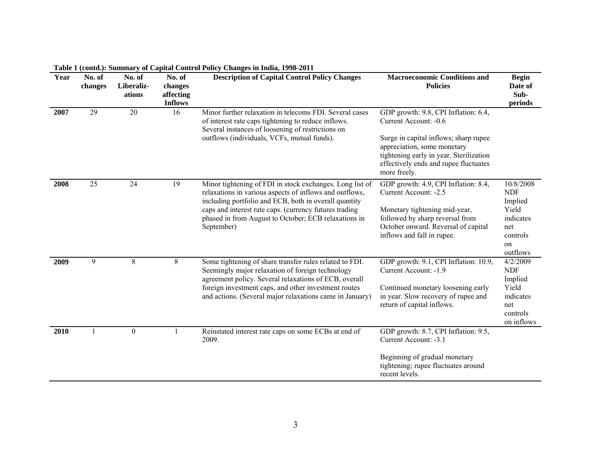| Year | No. of<br>changes | No. of<br>Liberaliz-<br>ations | No. of<br>changes<br>affecting<br><b>Inflows</b> | <b>Description of Capital Control Policy Changes</b>                                                                                                                                                                                                                                                         | <b>Macroeconomic Conditions and</b><br><b>Policies</b>                                                                                                                                                                                    |                                                                                               |  |
|------|-------------------|--------------------------------|--------------------------------------------------|--------------------------------------------------------------------------------------------------------------------------------------------------------------------------------------------------------------------------------------------------------------------------------------------------------------|-------------------------------------------------------------------------------------------------------------------------------------------------------------------------------------------------------------------------------------------|-----------------------------------------------------------------------------------------------|--|
| 2007 | $\overline{29}$   | $\overline{20}$                | 16                                               | Minor further relaxation in telecoms FDI. Several cases<br>of interest rate caps tightening to reduce inflows.<br>Several instances of loosening of restrictions on<br>outflows (individuals, VCFs, mutual funds).                                                                                           | GDP growth: 9.8, CPI Inflation: 6.4,<br>Current Account: -0.6<br>Surge in capital inflows; sharp rupee<br>appreciation, some monetary<br>tightening early in year. Sterilization<br>effectively ends and rupee fluctuates<br>more freely. |                                                                                               |  |
| 2008 | 25                | 24                             | 19                                               | Minor tightening of FDI in stock exchanges. Long list of<br>relaxations in various aspects of inflows and outflows,<br>including portfolio and ECB, both in overall quantity<br>caps and interest rate caps. (currency futures trading<br>phased in from August to October; ECB relaxations in<br>September) | GDP growth: 4.9, CPI Inflation: 8.4,<br>Current Account: -2.5<br>Monetary tightening mid-year,<br>followed by sharp reversal from<br>October onward. Reversal of capital<br>inflows and fall in rupee.                                    | 10/8/2008<br><b>NDF</b><br>Implied<br>Yield<br>indicates<br>net<br>controls<br>on<br>outflows |  |
| 2009 | 9                 | 8                              | 8                                                | Some tightening of share transfer rules related to FDI.<br>Seemingly major relaxation of foreign technology<br>agreement policy. Several relaxations of ECB, overall<br>foreign investment caps, and other investment routes<br>and actions. (Several major relaxations came in January)                     | GDP growth: 9.1, CPI Inflation: 10.9,<br>Current Account: -1.9<br>Continued monetary loosening early<br>in year. Slow recovery of rupee and<br>return of capital inflows.                                                                 | 4/2/2009<br><b>NDF</b><br>Implied<br>Yield<br>indicates<br>net<br>controls<br>on inflows      |  |
| 2010 | 1                 | $\mathbf{0}$                   |                                                  | Reinstated interest rate caps on some ECBs at end of<br>2009.                                                                                                                                                                                                                                                | GDP growth: 8.7, CPI Inflation: 9.5,<br>Current Account: -3.1<br>Beginning of gradual monetary<br>tightening; rupee fluctuates around<br>recent levels.                                                                                   |                                                                                               |  |

**Table 1 (contd.): Summary of Capital Control Policy Changes in India, 1998-2011**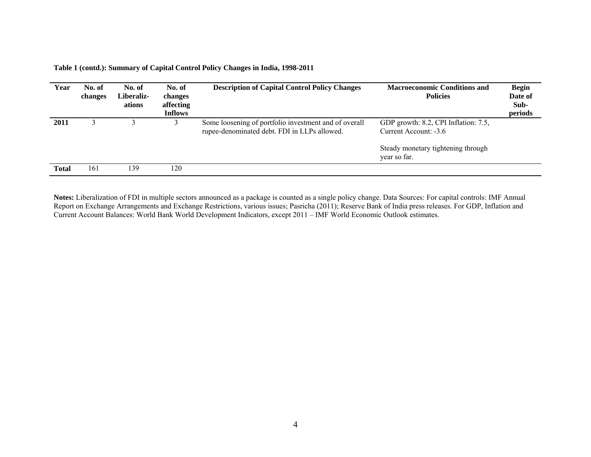| Year         | No. of<br>changes | No. of<br>Liberaliz-<br>ations | No. of<br>changes<br>affecting<br><b>Inflows</b> | <b>Description of Capital Control Policy Changes</b>                                                  | <b>Macroeconomic Conditions and</b><br><b>Policies</b>        | <b>Begin</b><br>Date of<br>Sub-<br>periods |
|--------------|-------------------|--------------------------------|--------------------------------------------------|-------------------------------------------------------------------------------------------------------|---------------------------------------------------------------|--------------------------------------------|
| 2011         |                   |                                |                                                  | Some loosening of portfolio investment and of overall<br>rupee-denominated debt. FDI in LLPs allowed. | GDP growth: 8.2, CPI Inflation: 7.5,<br>Current Account: -3.6 |                                            |
|              |                   |                                |                                                  |                                                                                                       | Steady monetary tightening through<br>year so far.            |                                            |
| <b>Total</b> | 161               | 139                            | 120                                              |                                                                                                       |                                                               |                                            |

**Table 1 (contd.): Summary of Capital Control Policy Changes in India, 1998-2011**

**Notes:** Liberalization of FDI in multiple sectors announced as a package is counted as a single policy change. Data Sources: For capital controls: IMF Annual Report on Exchange Arrangements and Exchange Restrictions, various issues; Pasricha (2011); Reserve Bank of India press releases. For GDP, Inflation and Current Account Balances: World Bank World Development Indicators, except 2011 – IMF World Economic Outlook estimates.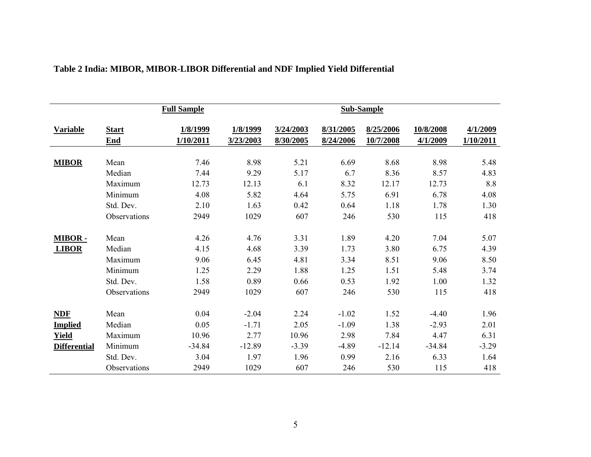|                     |                     | <b>Full Sample</b>    |                       |                        |                        | <b>Sub-Sample</b>      |                       |                       |
|---------------------|---------------------|-----------------------|-----------------------|------------------------|------------------------|------------------------|-----------------------|-----------------------|
| <b>Variable</b>     | <b>Start</b><br>End | 1/8/1999<br>1/10/2011 | 1/8/1999<br>3/23/2003 | 3/24/2003<br>8/30/2005 | 8/31/2005<br>8/24/2006 | 8/25/2006<br>10/7/2008 | 10/8/2008<br>4/1/2009 | 4/1/2009<br>1/10/2011 |
| <b>MIBOR</b>        | Mean                | 7.46                  | 8.98                  | 5.21                   | 6.69                   | 8.68                   | 8.98                  | 5.48                  |
|                     | Median              | 7.44                  | 9.29                  | 5.17                   | 6.7                    | 8.36                   | 8.57                  | 4.83                  |
|                     | Maximum             | 12.73                 | 12.13                 | 6.1                    | 8.32                   | 12.17                  | 12.73                 | 8.8                   |
|                     | Minimum             | 4.08                  | 5.82                  | 4.64                   | 5.75                   | 6.91                   | 6.78                  | 4.08                  |
|                     | Std. Dev.           | 2.10                  | 1.63                  | 0.42                   | 0.64                   | 1.18                   | 1.78                  | 1.30                  |
|                     | Observations        | 2949                  | 1029                  | 607                    | 246                    | 530                    | 115                   | 418                   |
| MIBOR-              | Mean                | 4.26                  | 4.76                  | 3.31                   | 1.89                   | 4.20                   | 7.04                  | 5.07                  |
| <b>LIBOR</b>        | Median              | 4.15                  | 4.68                  | 3.39                   | 1.73                   | 3.80                   | 6.75                  | 4.39                  |
|                     | Maximum             | 9.06                  | 6.45                  | 4.81                   | 3.34                   | 8.51                   | 9.06                  | 8.50                  |
|                     | Minimum             | 1.25                  | 2.29                  | 1.88                   | 1.25                   | 1.51                   | 5.48                  | 3.74                  |
|                     | Std. Dev.           | 1.58                  | 0.89                  | 0.66                   | 0.53                   | 1.92                   | 1.00                  | 1.32                  |
|                     | Observations        | 2949                  | 1029                  | 607                    | 246                    | 530                    | 115                   | 418                   |
| <b>NDF</b>          | Mean                | 0.04                  | $-2.04$               | 2.24                   | $-1.02$                | 1.52                   | $-4.40$               | 1.96                  |
| <b>Implied</b>      | Median              | 0.05                  | $-1.71$               | 2.05                   | $-1.09$                | 1.38                   | $-2.93$               | 2.01                  |
| <b>Yield</b>        | Maximum             | 10.96                 | 2.77                  | 10.96                  | 2.98                   | 7.84                   | 4.47                  | 6.31                  |
| <b>Differential</b> | Minimum             | $-34.84$              | $-12.89$              | $-3.39$                | $-4.89$                | $-12.14$               | $-34.84$              | $-3.29$               |
|                     | Std. Dev.           | 3.04                  | 1.97                  | 1.96                   | 0.99                   | 2.16                   | 6.33                  | 1.64                  |
|                     | Observations        | 2949                  | 1029                  | 607                    | 246                    | 530                    | 115                   | 418                   |

### **Table 2 India: MIBOR, MIBOR-LIBOR Differential and NDF Implied Yield Differential**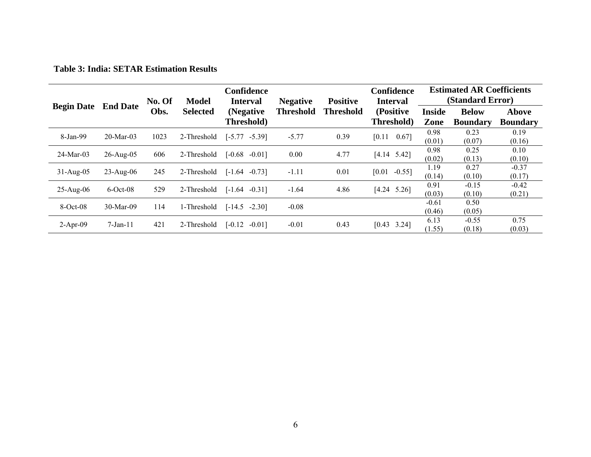**Table 3: India: SETAR Estimation Results** 

|                            |              | No. Of | Model           | Confidence<br><b>Interval</b>         | <b>Negative</b> | <b>Positive</b>  | Confidence<br><b>Interval</b> |                       | <b>Estimated AR Coefficients</b><br>(Standard Error) |                                 |  |  |
|----------------------------|--------------|--------|-----------------|---------------------------------------|-----------------|------------------|-------------------------------|-----------------------|------------------------------------------------------|---------------------------------|--|--|
| <b>Begin Date</b> End Date |              | Obs.   | <b>Selected</b> | Threshold<br>(Negative)<br>Threshold) |                 | <b>Threshold</b> | (Positive)<br>Threshold)      | <b>Inside</b><br>Zone | <b>Below</b><br><b>Boundary</b>                      | <b>Above</b><br><b>Boundary</b> |  |  |
|                            |              |        |                 |                                       |                 |                  |                               |                       |                                                      |                                 |  |  |
| 8-Jan-99                   | $20-Mar-03$  | 1023   | 2-Threshold     | $[-5.77]$<br>$-5.39$ ]                | $-5.77$         | 0.39             | $0.67$ ]<br>[0.11]            | 0.98                  | 0.23                                                 | 0.19                            |  |  |
|                            |              |        |                 |                                       |                 |                  |                               | (0.01)                | (0.07)                                               | (0.16)                          |  |  |
|                            | $26$ -Aug-05 | 606    | 2-Threshold     |                                       |                 |                  |                               | 0.98                  | 0.25                                                 | 0.10                            |  |  |
| $24$ -Mar-03               |              |        |                 | $[-0.68]$<br>$-0.011$                 | 0.00            | 4.77             | $[4.14 \t 5.42]$              | (0.02)                | (0.13)                                               | (0.10)                          |  |  |
|                            |              |        |                 |                                       |                 |                  |                               | 1.19                  | 0.27                                                 | $-0.37$                         |  |  |
| $31 - Aug-05$              | $23$ -Aug-06 | 245    | 2-Threshold     | $[-1.64]$<br>$-0.731$                 | $-1.11$         | 0.01             | $-0.55$ ]<br>[0.01]           | (0.14)                | (0.10)                                               | (0.17)                          |  |  |
|                            |              |        |                 |                                       |                 |                  |                               | 0.91                  | $-0.15$                                              | $-0.42$                         |  |  |
| $25-Aug-06$                | $6$ -Oct-08  | 529    | 2-Threshold     | $[-1.64]$<br>$-0.311$                 | $-1.64$         | 4.86             | $[4.24 \t 5.26]$              | (0.03)                | (0.10)                                               | (0.21)                          |  |  |
|                            |              |        |                 |                                       |                 |                  |                               | $-0.61$               | 0.50                                                 |                                 |  |  |
| $8-Oct-08$                 | 30-Mar-09    | 114    | 1-Threshold     | $[-14.5]$<br>$-2.301$                 | $-0.08$         |                  |                               | (0.46)                | (0.05)                                               |                                 |  |  |
|                            |              |        |                 |                                       |                 | 0.43             |                               | 6.13                  | $-0.55$                                              | 0.75                            |  |  |
| $2-Apr-09$                 | $7$ -Jan-11  | 421    | 2-Threshold     | $\lceil -0.12 \rceil$<br>$-0.011$     | $-0.01$         |                  | $[0.43 \quad 3.24]$           | (1.55)                | (0.18)                                               | (0.03)                          |  |  |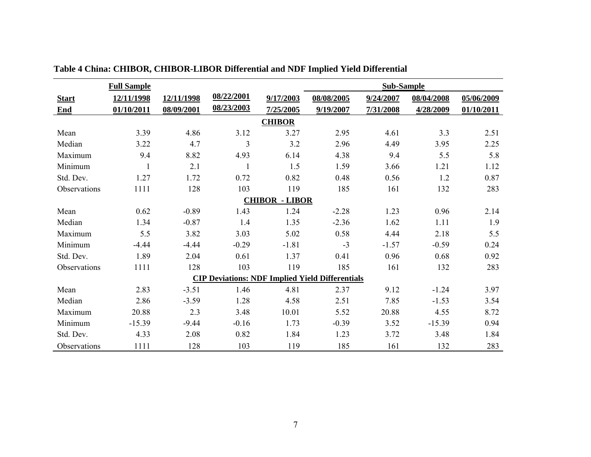|                       | <b>Full Sample</b> |            |            |               | <b>Sub-Sample</b>                                      |           |            |            |  |  |  |  |  |
|-----------------------|--------------------|------------|------------|---------------|--------------------------------------------------------|-----------|------------|------------|--|--|--|--|--|
| <b>Start</b>          | 12/11/1998         | 12/11/1998 | 08/22/2001 | 9/17/2003     | 08/08/2005                                             | 9/24/2007 | 08/04/2008 | 05/06/2009 |  |  |  |  |  |
| End                   | 01/10/2011         | 08/09/2001 | 08/23/2003 | 7/25/2005     | 9/19/2007                                              | 7/31/2008 | 4/28/2009  | 01/10/2011 |  |  |  |  |  |
|                       |                    |            |            | <b>CHIBOR</b> |                                                        |           |            |            |  |  |  |  |  |
| Mean                  | 3.39               | 4.86       | 3.12       | 3.27          | 2.95                                                   | 4.61      | 3.3        | 2.51       |  |  |  |  |  |
| Median                | 3.22               | 4.7        | 3          | 3.2           | 2.96                                                   | 4.49      | 3.95       | 2.25       |  |  |  |  |  |
| Maximum               | 9.4                | 8.82       | 4.93       | 6.14          | 4.38                                                   | 9.4       | 5.5        | 5.8        |  |  |  |  |  |
| Minimum               | $\mathbf{1}$       | 2.1        | 1          | 1.5           | 1.59                                                   | 3.66      | 1.21       | 1.12       |  |  |  |  |  |
| Std. Dev.             | 1.27               | 1.72       | 0.72       | 0.82          | 0.48                                                   | 0.56      | 1.2        | 0.87       |  |  |  |  |  |
| Observations          | 1111               | 128        | 103        | 119           | 185                                                    | 161       | 132        | 283        |  |  |  |  |  |
| <b>CHIBOR - LIBOR</b> |                    |            |            |               |                                                        |           |            |            |  |  |  |  |  |
| Mean                  | 0.62               | $-0.89$    | 1.43       | 1.24          | $-2.28$                                                | 1.23      | 0.96       | 2.14       |  |  |  |  |  |
| Median                | 1.34               | $-0.87$    | 1.4        | 1.35          | $-2.36$                                                | 1.62      | 1.11       | 1.9        |  |  |  |  |  |
| Maximum               | 5.5                | 3.82       | 3.03       | 5.02          | 0.58                                                   | 4.44      | 2.18       | 5.5        |  |  |  |  |  |
| Minimum               | $-4.44$            | $-4.44$    | $-0.29$    | $-1.81$       | $-3$                                                   | $-1.57$   | $-0.59$    | 0.24       |  |  |  |  |  |
| Std. Dev.             | 1.89               | 2.04       | 0.61       | 1.37          | 0.41                                                   | 0.96      | 0.68       | 0.92       |  |  |  |  |  |
| Observations          | 1111               | 128        | 103        | 119           | 185                                                    | 161       | 132        | 283        |  |  |  |  |  |
|                       |                    |            |            |               | <b>CIP Deviations: NDF Implied Yield Differentials</b> |           |            |            |  |  |  |  |  |
| Mean                  | 2.83               | $-3.51$    | 1.46       | 4.81          | 2.37                                                   | 9.12      | $-1.24$    | 3.97       |  |  |  |  |  |
| Median                | 2.86               | $-3.59$    | 1.28       | 4.58          | 2.51                                                   | 7.85      | $-1.53$    | 3.54       |  |  |  |  |  |
| Maximum               | 20.88              | 2.3        | 3.48       | 10.01         | 5.52                                                   | 20.88     | 4.55       | 8.72       |  |  |  |  |  |
| Minimum               | $-15.39$           | $-9.44$    | $-0.16$    | 1.73          | $-0.39$                                                | 3.52      | $-15.39$   | 0.94       |  |  |  |  |  |
| Std. Dev.             | 4.33               | 2.08       | 0.82       | 1.84          | 1.23                                                   | 3.72      | 3.48       | 1.84       |  |  |  |  |  |
| Observations          | 1111               | 128        | 103        | 119           | 185                                                    | 161       | 132        | 283        |  |  |  |  |  |

**Table 4 China: CHIBOR, CHIBOR-LIBOR Differential and NDF Implied Yield Differential**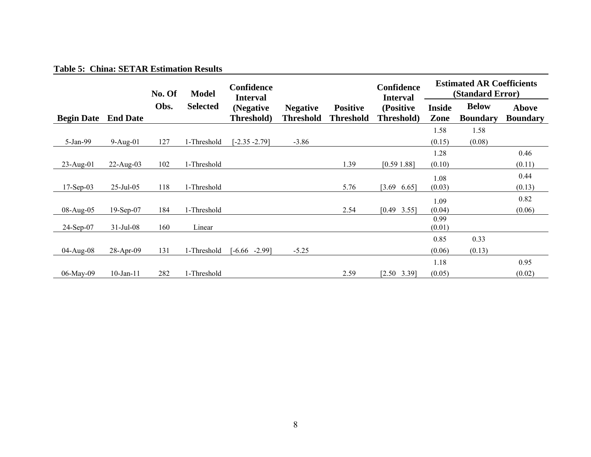#### **Table 5: China: SETAR Estimation Results**

|                   |                 | No. Of | <b>Model</b>    | <b>Confidence</b><br><b>Interval</b> |                                     |                                     | Confidence<br><b>Interval</b> |                       | <b>Estimated AR Coefficients</b><br>(Standard Error) |                          |
|-------------------|-----------------|--------|-----------------|--------------------------------------|-------------------------------------|-------------------------------------|-------------------------------|-----------------------|------------------------------------------------------|--------------------------|
| <b>Begin Date</b> | <b>End Date</b> | Obs.   | <b>Selected</b> | (Negative<br>Threshold)              | <b>Negative</b><br><b>Threshold</b> | <b>Positive</b><br><b>Threshold</b> | (Positive<br>Threshold)       | <b>Inside</b><br>Zone | <b>Below</b><br><b>Boundary</b>                      | Above<br><b>Boundary</b> |
|                   |                 |        |                 |                                      |                                     |                                     |                               | 1.58                  | 1.58                                                 |                          |
| 5-Jan-99          | $9-Aug-01$      | 127    | 1-Threshold     | $-2.35 - 2.79$                       | $-3.86$                             |                                     |                               | (0.15)                | (0.08)                                               |                          |
|                   |                 |        |                 |                                      |                                     |                                     |                               | 1.28                  |                                                      | 0.46                     |
| $23$ -Aug-01      | $22$ -Aug-03    | 102    | 1-Threshold     |                                      |                                     | 1.39                                | [0.591.88]                    | (0.10)                |                                                      | (0.11)                   |
|                   |                 |        |                 |                                      |                                     |                                     |                               | 1.08                  |                                                      | 0.44                     |
| $17-Sep-03$       | $25$ -Jul-05    | 118    | 1-Threshold     |                                      |                                     | 5.76                                | $[3.69]$<br>6.65]             | (0.03)                |                                                      | (0.13)                   |
|                   |                 |        |                 |                                      |                                     |                                     |                               | 1.09                  |                                                      | 0.82                     |
| 08-Aug-05         | $19-Sep-07$     | 184    | 1-Threshold     |                                      |                                     | 2.54                                | $[0.49 \quad 3.55]$           | (0.04)                |                                                      | (0.06)                   |
| 24-Sep-07         | $31$ -Jul-08    | 160    | Linear          |                                      |                                     |                                     |                               | 0.99<br>(0.01)        |                                                      |                          |
|                   |                 |        |                 |                                      |                                     |                                     |                               | 0.85                  | 0.33                                                 |                          |
| 04-Aug-08         | 28-Apr-09       | 131    | 1-Threshold     | $-2.99$ ]<br>$-6.66$                 | $-5.25$                             |                                     |                               | (0.06)                | (0.13)                                               |                          |
|                   |                 |        |                 |                                      |                                     |                                     |                               | 1.18                  |                                                      | 0.95                     |
| 06-May-09         | $10$ -Jan- $11$ | 282    | 1-Threshold     |                                      |                                     | 2.59                                | $[2.50 \t3.39]$               | (0.05)                |                                                      | (0.02)                   |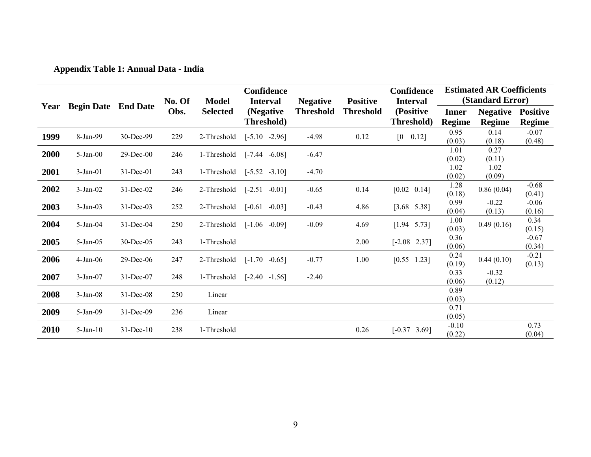**Appendix Table 1: Annual Data - India** 

|      |                            |              |                |                                 | Confidence                                  |                                     | <b>Positive</b>  | <b>Confidence</b>                          | <b>Estimated AR Coefficients</b><br>(Standard Error) |                           |                                  |  |
|------|----------------------------|--------------|----------------|---------------------------------|---------------------------------------------|-------------------------------------|------------------|--------------------------------------------|------------------------------------------------------|---------------------------|----------------------------------|--|
| Year | <b>Begin Date</b> End Date |              | No. Of<br>Obs. | <b>Model</b><br><b>Selected</b> | <b>Interval</b><br>(Negative)<br>Threshold) | <b>Negative</b><br><b>Threshold</b> | <b>Threshold</b> | <b>Interval</b><br>(Positive<br>Threshold) | <b>Inner</b><br><b>Regime</b>                        | <b>Negative</b><br>Regime | <b>Positive</b><br><b>Regime</b> |  |
| 1999 | 8-Jan-99                   | 30-Dec-99    | 229            | 2-Threshold                     | $[-5.10 -2.96]$                             | $-4.98$                             | 0.12             | $[0 \ 0.12]$                               | 0.95<br>(0.03)                                       | 0.14<br>(0.18)            | $-0.07$<br>(0.48)                |  |
| 2000 | $5$ -Jan-00                | $29$ -Dec-00 | 246            | 1-Threshold                     | $[-7.44 - 6.08]$                            | $-6.47$                             |                  |                                            | 1.01<br>(0.02)                                       | 0.27<br>(0.11)            |                                  |  |
| 2001 | $3-Jan-01$                 | $31$ -Dec-01 | 243            | 1-Threshold                     | $[-5.52 \quad -3.10]$                       | $-4.70$                             |                  |                                            | 1.02<br>(0.02)                                       | 1.02<br>(0.09)            |                                  |  |
| 2002 | $3-Jan-02$                 | 31-Dec-02    | 246            | 2-Threshold                     | $[-2.51 -0.01]$                             | $-0.65$                             | 0.14             | $[0.02 \ 0.14]$                            | 1.28<br>(0.18)                                       | 0.86(0.04)                | $-0.68$<br>(0.41)                |  |
| 2003 | $3-Jan-03$                 | $31$ -Dec-03 | 252            | 2-Threshold                     | $[-0.61 - 0.03]$                            | $-0.43$                             | 4.86             | $[3.68 \t 5.38]$                           | 0.99<br>(0.04)                                       | $-0.22$<br>(0.13)         | $-0.06$<br>(0.16)                |  |
| 2004 | 5-Jan-04                   | 31-Dec-04    | 250            | 2-Threshold                     | $[-1.06 \t -0.09]$                          | $-0.09$                             | 4.69             | $[1.94 \t 5.73]$                           | 1.00<br>(0.03)                                       | 0.49(0.16)                | 0.34<br>(0.15)                   |  |
| 2005 | 5-Jan-05                   | $30$ -Dec-05 | 243            | 1-Threshold                     |                                             |                                     | 2.00             | $[-2.08 \t 2.37]$                          | 0.36<br>(0.06)                                       |                           | $-0.67$<br>(0.34)                |  |
| 2006 | $4-Jan-06$                 | 29-Dec-06    | 247            | 2-Threshold                     | $[-1.70 \quad -0.65]$                       | $-0.77$                             | 1.00             | $[0.55 \t1.23]$                            | 0.24<br>(0.19)                                       | 0.44(0.10)                | $-0.21$<br>(0.13)                |  |
| 2007 | $3-Jan-07$                 | 31-Dec-07    | 248            | 1-Threshold                     | $[-2.40 -1.56]$                             | $-2.40$                             |                  |                                            | 0.33<br>(0.06)                                       | $-0.32$<br>(0.12)         |                                  |  |
| 2008 | $3-Jan-08$                 | $31$ -Dec-08 | 250            | Linear                          |                                             |                                     |                  |                                            | 0.89<br>(0.03)                                       |                           |                                  |  |
| 2009 | 5-Jan-09                   | 31-Dec-09    | 236            | Linear                          |                                             |                                     |                  |                                            | 0.71<br>(0.05)                                       |                           |                                  |  |
| 2010 | $5-Jan-10$                 | $31$ -Dec-10 | 238            | 1-Threshold                     |                                             |                                     | 0.26             | $[-0.37 \quad 3.69]$                       | $-0.10$<br>(0.22)                                    |                           | 0.73<br>(0.04)                   |  |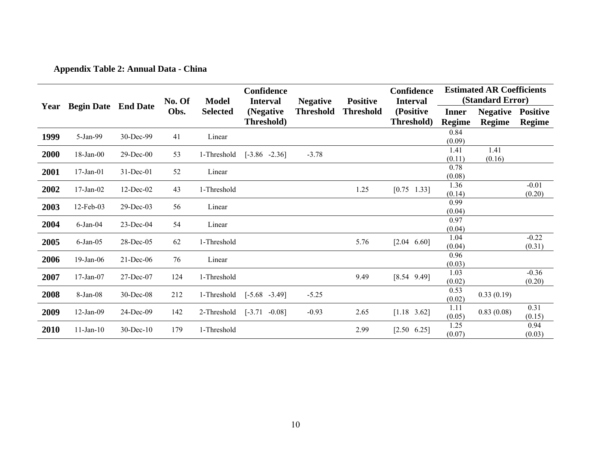**Appendix Table 2: Annual Data - China** 

|      |                   |                 |                |                                 | <b>Confidence</b>            |                                     |                                     | Confidence                   | <b>Estimated AR Coefficients</b><br>(Standard Error) |                 |                   |  |
|------|-------------------|-----------------|----------------|---------------------------------|------------------------------|-------------------------------------|-------------------------------------|------------------------------|------------------------------------------------------|-----------------|-------------------|--|
| Year | <b>Begin Date</b> | <b>End Date</b> | No. Of<br>Obs. | <b>Model</b><br><b>Selected</b> | <b>Interval</b><br>(Negative | <b>Negative</b><br><b>Threshold</b> | <b>Positive</b><br><b>Threshold</b> | <b>Interval</b><br>(Positive | <b>Inner</b>                                         | <b>Negative</b> | <b>Positive</b>   |  |
|      |                   |                 |                |                                 | Threshold)                   |                                     |                                     | Threshold)                   | <b>Regime</b>                                        | <b>Regime</b>   | Regime            |  |
| 1999 | 5-Jan-99          | 30-Dec-99       | 41             | Linear                          |                              |                                     |                                     |                              | 0.84                                                 |                 |                   |  |
| 2000 | 18-Jan-00         | $29$ -Dec-00    | 53             | 1-Threshold                     | $[-3.86 -2.36]$              | $-3.78$                             |                                     |                              | (0.09)<br>1.41                                       | 1.41            |                   |  |
|      |                   |                 |                |                                 |                              |                                     |                                     |                              | (0.11)                                               | (0.16)          |                   |  |
| 2001 | $17$ -Jan- $01$   | 31-Dec-01       | 52             | Linear                          |                              |                                     |                                     |                              | 0.78<br>(0.08)                                       |                 |                   |  |
| 2002 | $17$ -Jan-02      | $12$ -Dec-02    | 43             | 1-Threshold                     |                              |                                     | 1.25                                | [0.75]<br>$1.33$ ]           | 1.36<br>(0.14)                                       |                 | $-0.01$<br>(0.20) |  |
| 2003 | 12-Feb-03         | 29-Dec-03       | 56             | Linear                          |                              |                                     |                                     |                              | 0.99<br>(0.04)                                       |                 |                   |  |
| 2004 | $6$ -Jan-04       | $23$ -Dec-04    | 54             | Linear                          |                              |                                     |                                     |                              | 0.97<br>(0.04)                                       |                 |                   |  |
| 2005 | $6$ -Jan- $05$    | 28-Dec-05       | 62             | 1-Threshold                     |                              |                                     | 5.76                                | $[2.04 \ 6.60]$              | 1.04<br>(0.04)                                       |                 | $-0.22$<br>(0.31) |  |
| 2006 | 19-Jan-06         | $21$ -Dec-06    | 76             | Linear                          |                              |                                     |                                     |                              | 0.96<br>(0.03)                                       |                 |                   |  |
| 2007 | $17$ -Jan-07      | 27-Dec-07       | 124            | 1-Threshold                     |                              |                                     | 9.49                                | $[8.54 \ 9.49]$              | 1.03<br>(0.02)                                       |                 | $-0.36$<br>(0.20) |  |
| 2008 | 8-Jan-08          | 30-Dec-08       | 212            | 1-Threshold                     | $[-5.68 - 3.49]$             | $-5.25$                             |                                     |                              | 0.53<br>(0.02)                                       | 0.33(0.19)      |                   |  |
| 2009 | $12-Jan-09$       | 24-Dec-09       | 142            | 2-Threshold                     | $[-3.71 -0.08]$              | $-0.93$                             | 2.65                                | $[1.18 \t3.62]$              | 1.11<br>(0.05)                                       | 0.83(0.08)      | 0.31<br>(0.15)    |  |
| 2010 | $11$ -Jan- $10$   | $30$ -Dec-10    | 179            | 1-Threshold                     |                              |                                     | 2.99                                | $[2.50 \t 6.25]$             | 1.25<br>(0.07)                                       |                 | 0.94<br>(0.03)    |  |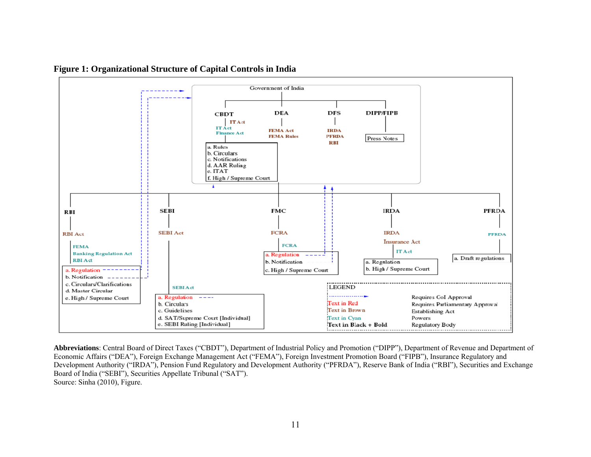

**Figure 1: Organizational Structure of Capital Controls in India** 

**Abbreviations**: Central Board of Direct Taxes ("CBDT"), Department of Industrial Policy and Promotion ("DIPP"), Department of Revenue and Department of Economic Affairs ("DEA"), Foreign Exchange Management Act ("FEMA"), Foreign Investment Promotion Board ("FIPB"), Insurance Regulatory and Development Authority ("IRDA"), Pension Fund Regulatory and Development Authority ("PFRDA"), Reserve Bank of India ("RBI"), Securities and Exchange Board of India ("SEBI"), Securities Appellate Tribunal ("SAT"). Source: Sinha (2010), Figure.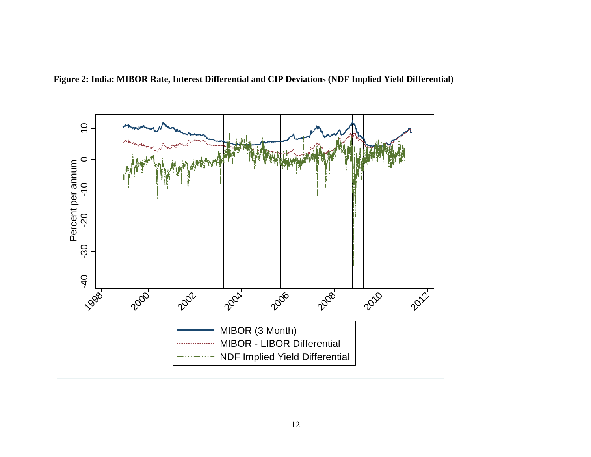

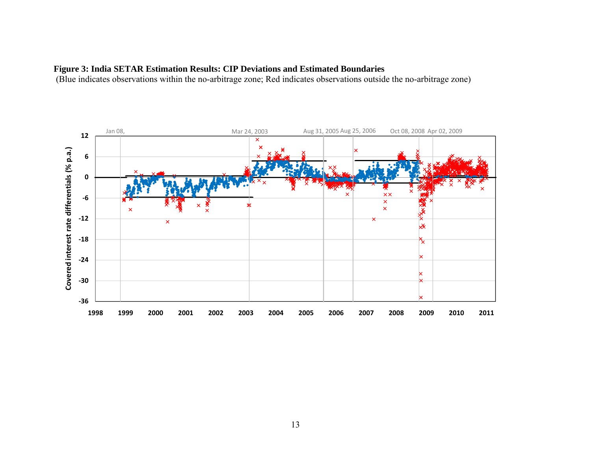### **Figure 3: India SETAR Estimation Results: CIP Deviations and Estimated Boundaries**

(Blue indicates observations within the no-arbitrage zone; Red indicates observations outside the no-arbitrage zone)

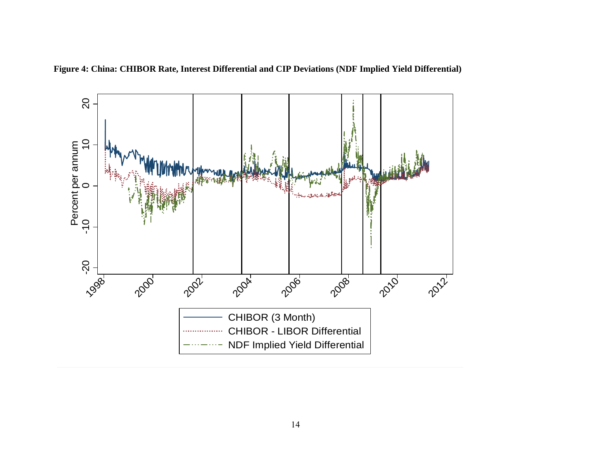